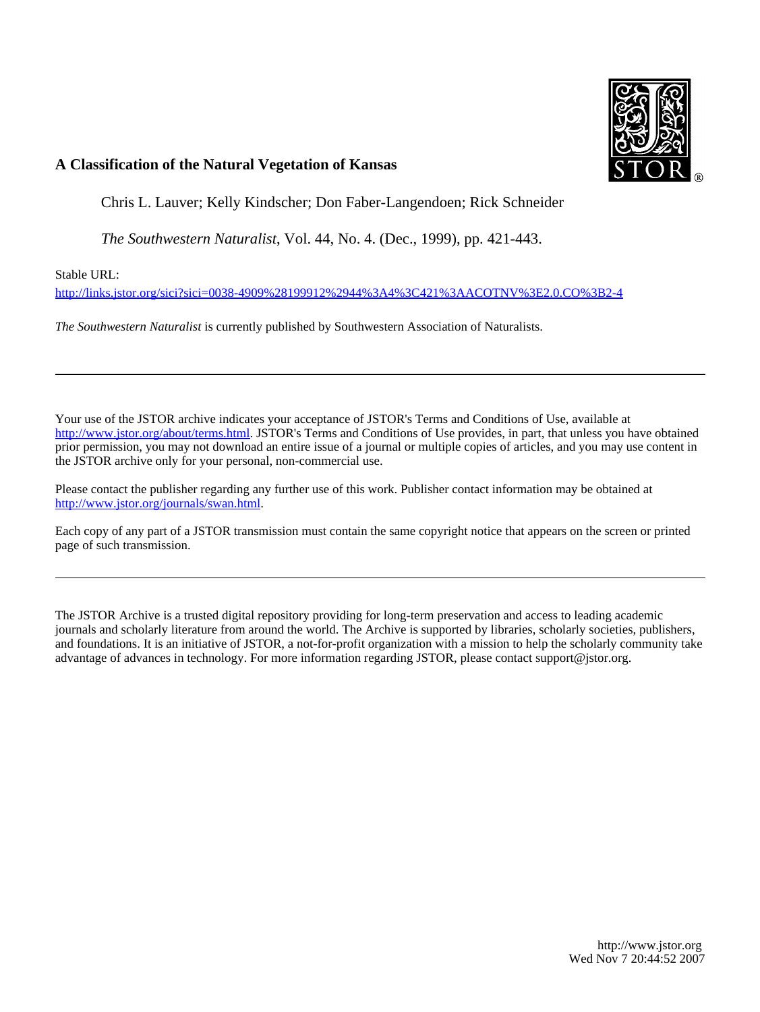

# **A Classification of the Natural Vegetation of Kansas**

Chris L. Lauver; Kelly Kindscher; Don Faber-Langendoen; Rick Schneider

*The Southwestern Naturalist*, Vol. 44, No. 4. (Dec., 1999), pp. 421-443.

Stable URL:

<http://links.jstor.org/sici?sici=0038-4909%28199912%2944%3A4%3C421%3AACOTNV%3E2.0.CO%3B2-4>

*The Southwestern Naturalist* is currently published by Southwestern Association of Naturalists.

Your use of the JSTOR archive indicates your acceptance of JSTOR's Terms and Conditions of Use, available at [http://www.jstor.org/about/terms.html.](http://www.jstor.org/about/terms.html) JSTOR's Terms and Conditions of Use provides, in part, that unless you have obtained prior permission, you may not download an entire issue of a journal or multiple copies of articles, and you may use content in the JSTOR archive only for your personal, non-commercial use.

Please contact the publisher regarding any further use of this work. Publisher contact information may be obtained at <http://www.jstor.org/journals/swan.html>.

Each copy of any part of a JSTOR transmission must contain the same copyright notice that appears on the screen or printed page of such transmission.

The JSTOR Archive is a trusted digital repository providing for long-term preservation and access to leading academic journals and scholarly literature from around the world. The Archive is supported by libraries, scholarly societies, publishers, and foundations. It is an initiative of JSTOR, a not-for-profit organization with a mission to help the scholarly community take advantage of advances in technology. For more information regarding JSTOR, please contact support@jstor.org.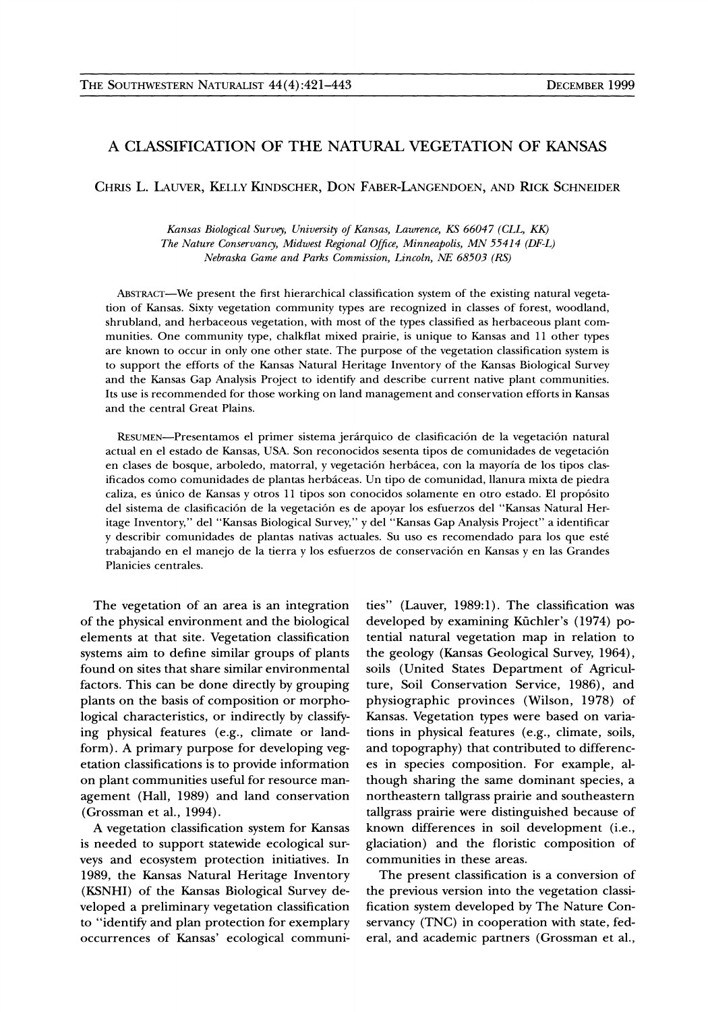# A CLASSIFICATION OF THE NATURAL VEGETATION OF KANSAS

CHRIS L. LAUVER, KELLY KINDSCHER, DON FABER-LANGENDOEN, AND RICK SCHNEIDER

Kansas Biological Survey, University of Kansas, Lawrence, KS 66047 (CLL, KK) The Nature Conservancy, Midwest Regional Office, Minneapolis, MN 55414 (DF-L) *Nebraska Game and Parks Commission, Lincoln, NE 68503 (RS)* 

ABSTRACT-We present the first hierarchical classification system of the existing natural vegetation of Kansas. Sixty vegetation community types are recognized in classes of forest, woodland, shrubland, and herbaceous vegetation, with most of the types classified as herbaceous plant communities. One community type, chalkflat mixed prairie, is unique to Kansas and 11 other types are known to occur in only one other state. The purpose of the vegetation classification system is to support the efforts of the Kansas Natural Heritage Inventory of the Kansas Biological Survey and the Kansas Gap Analysis Project to identifv and describe current native plant communities. Its use is recommended for those working on land management and conservation efforts in Kansas and the central Great Plains.

RESUMEN-Presentamos el primer sistema jerárquico de clasificación de la vegetación natural actual en el estado de Kansas, USA. Son reconocidos sesenta tipos de comunidades de vegetacion en clases de bosque, arboledo, matorral, y vegetacion herbacea, con la mayoria de 10s tipos clasificados como comunidades de plantas herbiceas. Un tip0 de comunidad, llanura mixta de piedra caliza, es único de Kansas y otros 11 tipos son conocidos solamente en otro estado. El propósito del sistema de clasificación de la vegetación es de apoyar los esfuerzos del "Kansas Natural Heritage Inventory," del "Kansas Biological Survey," y del "Kansas Gap Analysis Project" a identificar y describir comunidades de plantas nativas actuales. Su uso es recomendado para los que esté trabajando en el manejo de la tierra y los esfuerzos de conservación en Kansas y en las Grandes Planicies centrales.

of the physical environment and the biological developed by examining Kiichler's (1974) poelements at that site. Vegetation classification tential natural vegetation map in relation to systems aim to define similar groups of plants the geology (Kansas Geological Survey, 1964), found on sites that share similar environmental soils (United States Department of Agriculfactors. This can be done directly by grouping ture, Soil Conservation Service, 1986), and plants on the basis of composition or morpho- physiographic provinces (Wilson, 1978) of logical characteristics, or indirectly by classify- Kansas. Vegetation types were based on variaing physical features (e.g., climate or land- tions in physical features (e.g., climate, soils, form). A primary purpose for developing veg- and topography) that contributed to differencetation classifications is to provide information es in species composition. For example, alon plant communities useful for resource man- though sharing the same dominant species, a agement (Hall, 1989) and land conservation northeastern tallgrass prairie and southeastern

is needed to support statewide ecological sur- glaciation) and the floristic composition of veys and ecosystem protection initiatives. In communities in these areas. 1989, the Kansas Natural Heritage Inventory The present classification is a conversion of (KSNHI) of the Kansas Biological Survey de- the previous version into the vegetation classiveloped a preliminary vegetation classification fication system developed by The Nature Conto "identify and plan protection for exemplary servancy (TNC) in cooperation with state, fed-

The vegetation of an area is an integration ties" (Lauver, 1989:l). The classification was (Grossman et al., 1994). tallgrass prairie were distinguished because of A vegetation classification system for Kansas known differences in soil development (i.e.,

occurrences of Kansas' ecological communi- eral, and academic partners (Grossman et al.,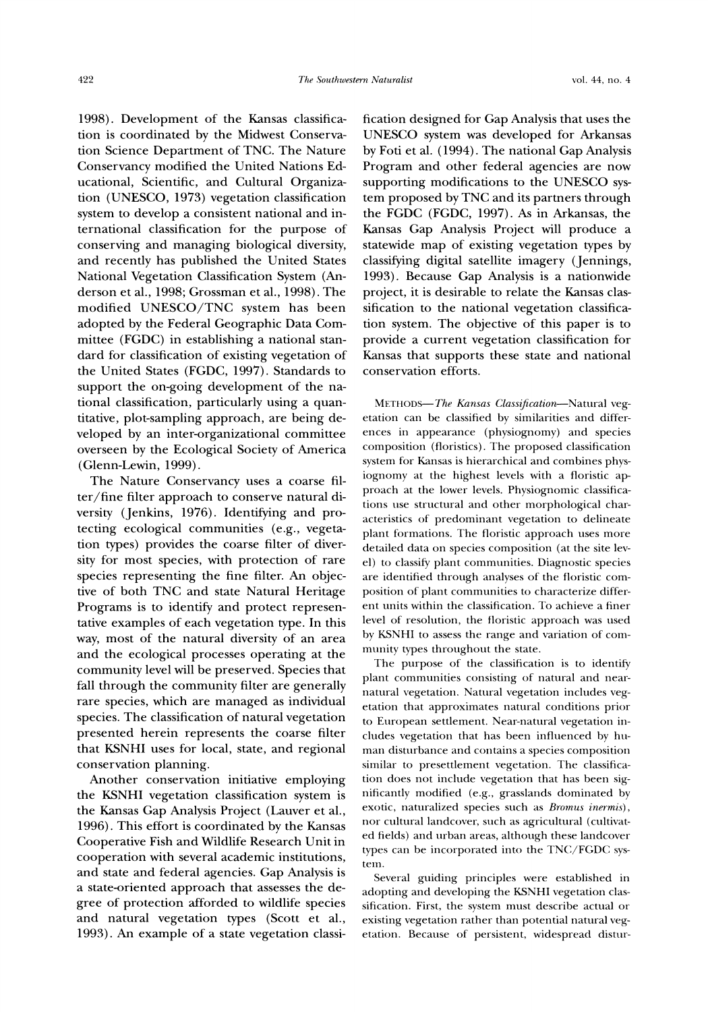1998). Development of the Kansas classification is coordinated by the Midwest Conservation Science Department of TNC. The Nature Conservancy modified the United Nations Educational, Scientific, and Cultural Organization (UNESCO, 1973) vegetation classification system to develop a consistent national and international classification for the purpose of conserving and managing biological diversity, and recently has published the United States National Vegetation Classification System (Anderson et al., 1998; Grossman et al., 1998). The modified UNESCO/TNC system has been adopted by the Federal Geographic Data Committee (FGDC) in establishing a national standard for classification of existing vegetation of the United States (FGDC, 1997). Standards to support the on-going development of the national classification, particularly using a quantitative, plot-sampling approach, are being developed by an inter-organizational committee overseen by the Ecological Society of America (Glenn-Lewin, 1999).

The Nature Conservancy uses a coarse filter/fine filter approach to conserve natural diversity (Jenkins, 1976). Identifying and protecting ecological communities (e.g., vegetation types) provides the coarse filter of diversity for most species, with protection of rare species representing the fine filter. An objective of both TNC and state Natural Heritage Programs is to identify and protect representative examples of each vegetation type. In this way, most of the natural diversity of an area and the ecological processes operating at the community level will be preserved. Species that fall through the community filter are generally rare species, which are managed as individual species. The classification of natural vegetation presented herein represents the coarse filter that KSNHI uses for local, state, and regional conservation planning.

Another conservation initiative employing the KSNHI vegetation classification system is the Kansas Gap Analysis Project (Lauver et al., 1996). This effort is coordinated by the Kansas Cooperative Fish and Wildlife Research Unit in cooperation with several academic institutions, and state and federal agencies. Gap Analysis **is**  a state-oriented approach that assesses the degree of protection afforded to wildlife species and natural vegetation types (Scott et al., 1993).An example of a state vegetation classification designed for Gap Analysis that uses the UNESCO system was developed for Arkansas by Foti et al. (1994). The national Gap Analysis Program and other federal agencies are now supporting modifications to the UNESCO system proposed by TNC and its partners through the FGDC (FGDC, 1997). As in Arkansas, the Kansas Gap Analysis Project will produce a statewide map of existing vegetation types by classifying digital satellite imagery (Jennings, 1993). Because Gap Analysis is a nationwide project, it is desirable to relate the Kansas classification to the national vegetation classification system. The objective of this paper is to provide a current vegetation classification for Kansas that supports these state and national conservation efforts.

METHODS-The Kansas Classification-Natural vegetation can be classified by similarities and differences in appearance (physiognomy) and species composition (floristics). The proposed classification system for Kansas is hierarchical and combines physiognomy at the highest levels with a floristic approach at the lower levels. Physiognomic classifications use structural and other morphological characteristics of predominant vegetation to delineate plant formations. The floristic approach uses more detailed data on species composition (at the site le\ el) to classify plant communities. Diagnostic species are identified through analyses of the floristic composition of plant communities to characterize different units within the classification. To achieve a finer level of resolution, the floristic approach was used by KSNHI to assess the range and variation of community types throughout the state.

The purpose of the classification is to identify plant communities consisting of natural and nearnatural vegetation. Natural vegetation includes vegetation that approximates natural conditions prior to European settlement. Near-natural vegetation includes vegetation that has been influenced by human disturbance and contains a species composition similar to presettlement vegetation. The classification does not include vegetation that has been significantly modified (e.g., grasslands dominated by exotic, naturalized species such as *Bromus inermis*), nor cultural landcover, such as agricultural (cultivated fields) and urban areas, although these landcover types can be incorporated into the TNC/FGDC system.

Several guiding principles were established in adopting and developing the KSNHI vegetation classification. First, the system must describe actual or existing vegetation rather than potential natural vegetation. Because of persistent, widespread distur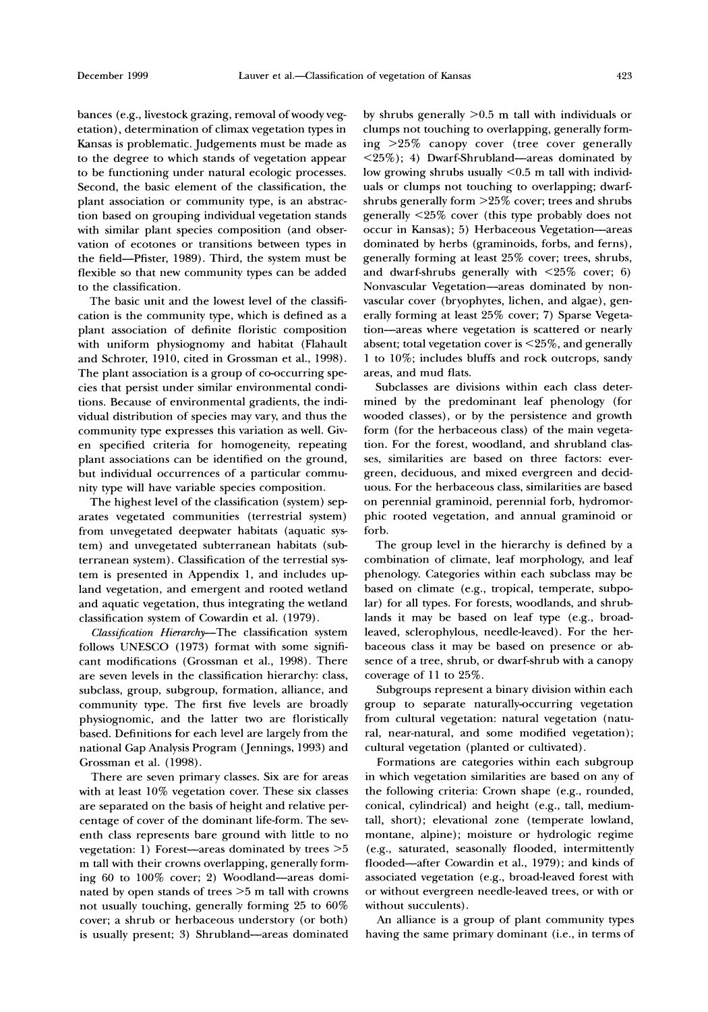bances (e.g., livestock grazing, removal of woody vegetation), determination of climax vegetation types in Kansas is problematic. Judgements must be made as to the degree to which stands of vegetation appear to be functioning under natural ecologic processes. Second, the basic element of the classification, the plant association or community type, is an abstraction based on grouping individual vegetation stands with similar plant species composition (and observation of ecotones or transitions between types in the field-Pfister, 1989). Third, the system must be flexible so that new community types can be added to the classification.

The basic unit and the lowest level of the classification is the community type, which is defined as a plant association of definite floristic composition with uniform physiognomy and habitat (Flahault and Schroter, 1910, cited in Grossman et al., 1998). The plant association is a group of co-occurring species that persist under similar environmental conditions. Because of environmental gradients, the individual distribution of species may vary, and thus the community type expresses this variation as well. Given specified criteria for homogeneity, repeating plant associations can be identified on the ground, but individual occurrences of a particular community type will have variable species composition.

The highest level of the classification (system) separates vegetated communities (terrestrial system) from unvegetated deepwater habitats (aquatic system) and unvegetated subterranean habitats (subterranean system). Classification of the terrestial system is presented in Appendix 1, and includes upland vegetation, and emergent and rooted wetland and aquatic vegetation, thus integrating the wetland classification system of Cowardin et al. (1979).

Classification Hierarchy-The classification system follows UNESCO (1973) format with some significant modifications (Grossman et al., 1998). There are seven levels in the classification hierarchy: class, subclass, group, subgroup, formation, alliance, and community type. The first five levels are broadly physiognomic, and the latter two are floristically based. Definitions for each level are largely from the national Gap Analysis Program (Jennings, 1993) and Grossman et al. (1998).

There are seven primary classes. Six are for areas with at least 10% vegetation cover. These six classes are separated on the basis of height and relative percentage of cover of the dominant life-form. The seventh class represents bare ground with little to no vegetation: 1) Forest-areas dominated by trees *>5*  m tall with their crowns overlapping, generally forrning 60 to 100% cover; 2) Woodland-areas dominated by open stands of trees >5 m tall with crowns not usually touching, generally forming 25 to 60% cover; a shrub or herbaceous understory (or both) is usually present; **3)** Shrubland-areas dominated

by shrubs generally  $>0.5$  m tall with individuals or clumps not touching to overlapping, generally forming >25% canopy cover (tree cover generally  $\langle 25\% \rangle$ ; 4) Dwarf-Shrubland--areas dominated by low growing shrubs usually <0.5 m tall with individuals or clumps not touching to overlapping; dwarfshrubs generally form >25% cover; trees and shrubs generally <25% cover (this type probably does not occur in Kansas); 5) Herbaceous Vegetation-areas dominated by herbs (graminoids, forbs, and ferns), generally forming at least 25% cover; trees, shrubs, and dwarf-shrubs generally with <25% cover; *6)*  Nonvascular Vegetation-areas dominated by nonvascular cover (bryophytes, lichen, and algae), generally forming at least 25% cover; 7) Sparse Vegetation-areas where vegetation is scattered or nearly absent; total vegetation cover is <25%, and generally 1 to 10%; includes bluffs and rock outcrops, sandy areas, and mud flats.

Subclasses are dirisions within each class determined by the predominant leaf phenology (for wooded classes), or by the persistence and growth form (for the herbaceous class) of the main vegetation. For the forest, woodland, and shrubland classes, similarities are based on three factors: evergreen, deciduous, and mixed evergreen and deciduous. For the herbaceous class, similarities are based on perennial graminoid, perennial forb, hydromorphic rooted vegetation, and annual graminoid or forb.

The group level in the hierarchy is defined by a combination of climate, leaf morphology, and leaf phenology. Categories within each subclass may be based on climate (e.g., tropical, temperate, subpolar) for all types. For forests, woodlands, and shrub lands it may be based on leaf type (e.g., broadleaved, sclerophylous, needle-leaved). For the herbaceous class it may be based on presence or- absence of a tree, shrub, or dwarf-shrub with a canopy coverage of 11 to 25%.

Subgroups represent a binary division within each group to separate naturally-occurring vegetation from cultural vegetation: natural vegetation (natural, near-natural, and some modified vegetation); cultural vegetation (planted or cultivated).

Formations are categories within each subgroup in which vegetation similarities are based on any of the following criteria: Crown shape (e.g., rounded, conical, cylindrical) and height (e.g., tall, mediumtall, short); elevational zone (temperate lowland, montane, alpine); moisture or hydrologic regime (e.g., saturated, seasonallv flooded, intermittently flooded-after Cowardin et al., 1979); and kinds of associated vegetation (e.g., broad-leaved forest with or without evergreen needle-leaved trees, or with or without succulents).

An alliance is a group of plant community types having the same primary dominant (i.e., in terms of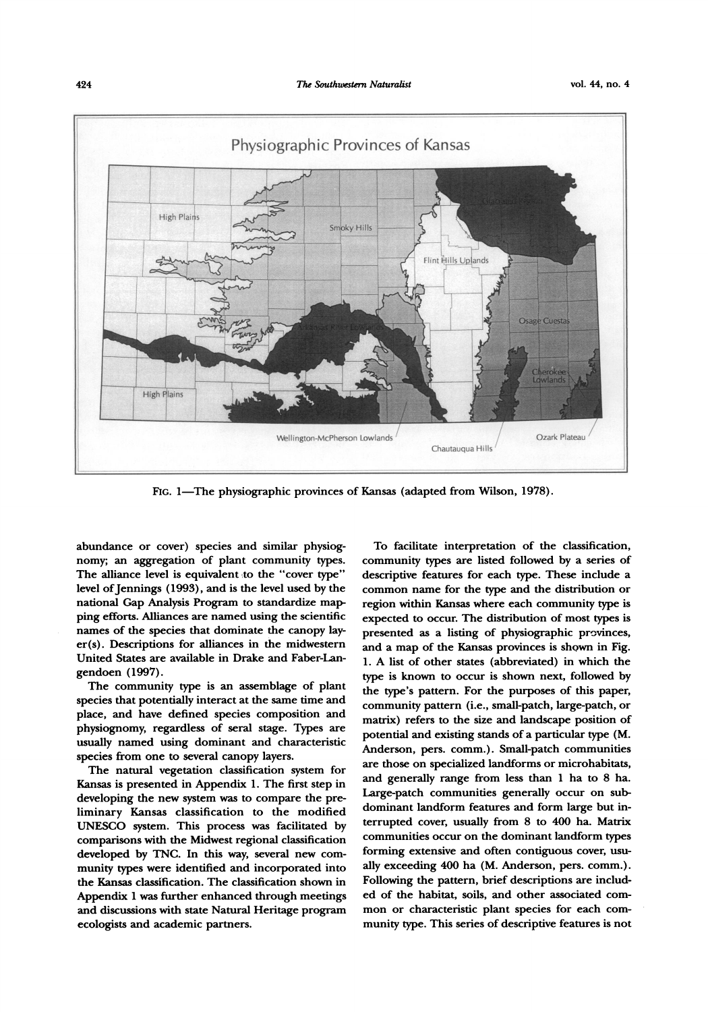

**hc.** 1-The physiographic provinces of **Kansas** (adapted from Wilson, 1978).

abundance or cover) species and similar physiognomy; an aggregation of plant community types. The alliance level is equivalent to the "cover type" level of Jennings (1993), and is the level used **by** the national Gap Analysis Program to standardize map ping efforts. Alliances are named using the scientific names of the species that dominate the canopy lay $er(s)$ . Descriptions for alliances in the midwestern United States are available in Drake and Faber-Langendoen (1997).

The community type is an assemblage of plant species that potentially interact at the same time and place, and have defined species composition and physiognomy, regardless of seral stage. Types are usually named using dominant and characteristic species from one to several canopy layers.

The natural vegetation classification system for **Kansas** is presented in Appendix 1. The first step in developing the new system **was** to compare the preliminary Kansas classification to the modified **UNESCO** system. This process **was** facilitated by comparisons with the Midwest regional classification developed by **TNC.** In this way, several new community types were identified and incorporated into the **Kansas** classification. The classification shown in Appendix 1 **was** further enhanced through meetings and discussions with state Natural Heritage program ecologists and academic partners.

To facilitate interpretation of the classification, community types **are** listed followed **by** a series of descriptive features for each type. These include a common name for the type and the distribution or region within **Kansas** where each community type is expected to occur. The distribution of most types is presented as a listing of physiographic provinces, and a map of the **Kansas** provinces is shown in Fig. 1. A list of other states (abbreviated) in which the type is known to occur is shown next, followed **by**  the type's pattern. For the purposes of this paper, community pattern (i.e., small-patch, large-patch, or matrix) refers to the size and landscape position of potential and existing stands of a particular type (M. Anderson, pers. comm.). Small-patch communities are those on specialized landforms or microhabitats, and generally range from less than 1 ha to 8 ha. Large-patch communities generally occur on sub dominant landform features and form large but interrupted cover, usually from 8 to **400** ha. Matrix communities occur on the dominant landform types forming extensive and often contiguous cover, usually exceeding **400** ha (M. Anderson, pers. comm.). Following the pattern, brief descriptions **are** included of the habitat, soils, and other associated common or characteristic plant species for each community type. This series of descriptive features is not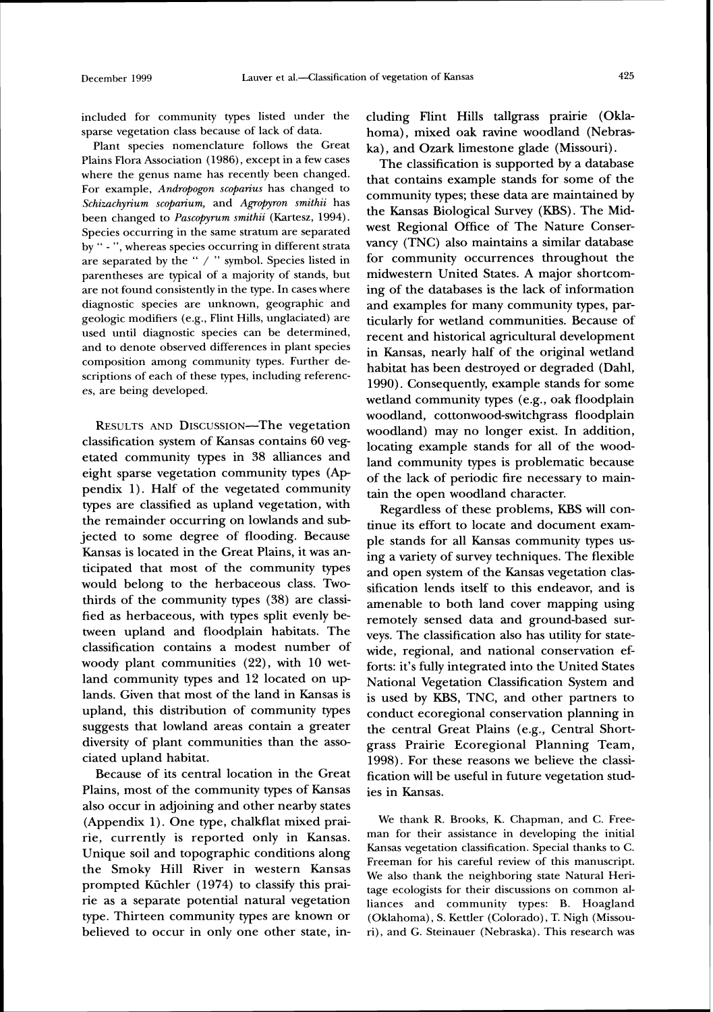included for community types listed under the sparse vegetation class because of lack of data.

Plant species nomenclature follows the Great Plains Flora Association (1986), except in a few cases where the genus name has recently been changed. For example, *Andropogon scoparius* has changed to *Schizachyn'um scoparium,* and *Agropyron smithii* has been changed to *Pascopyrum smithii* (Kartesz, 1994). Species occurring in the same stratum are separated by " - ", whereas species occurring in different strata are separated by the " / " symbol. Species listed in parentheses are typical of a majority of stands, but are not found consistently in the type. In cases where diagnostic species are unknown, geographic and geologic modifiers (e.g., Flint Hills, unglaciated) are used until diagnostic species can be determined, and to denote observed differences in plant species composition among community types. Further descriptions of each of these types, including references, are being developed.

RESULTS AND DISCUSSION-The vegetation classification system of Kansas contains 60 vegetated community types in 38 alliances and eight sparse vegetation community types (Ap pendix 1). Half of the vegetated community types are classified as upland vegetation, with the remainder occurring on lowlands and subjected to some degree of flooding. Because Kansas is located in the Great Plains, it was anticipated that most of the community types would belong to the herbaceous class. Twothirds of the community types (38) are classified as herbaceous, with types split evenly between upland and floodplain habitats. The classification contains a modest number of woody plant communities **(22),** with 10 wetland community types and 12 located on uplands. Given that most of the land in Kansas is upland, this distribution of community types suggests that lowland areas contain a greater diversity of plant communities than the associated upland habitat.

Because of its central location in the Great Plains, most of the community types of Kansas also occur in adjoining and other nearby states (Appendix 1). One type, chalkflat mixed prairie, currently is reported only in Kansas. Unique soil and topographic conditions along the Smoky Hill River in western Kansas prompted Kiichler (1974) to classify this prairie as a separate potential natural vegetation type. Thirteen community types are known or believed to occur in only one other state, including Flint Hills tallgrass prairie (Oklahoma), mixed oak ravine woodland (Nebraska), and Ozark limestone glade (Missouri).

The classification is supported by a database that contains example stands for some of the community types; these data are maintained by the Kansas Biological Survey (KBS). The Midwest Regional Office of The Nature Conservancy (TNC) also maintains a similar database for community occurrences throughout the midwestern United States. A major shortcoming of the databases is the lack of information and examples for many community types, particularly for wetland communities. Because of recent and historical agricultural development in Kansas, nearly half of the original wetland habitat has been destroyed or degraded (Dahl, 1990). Consequently, example stands for some wetland community types (e.g., oak floodplain woodland, cottonwood-switchgrass floodplain woodland) may no longer exist. In addition, locating example stands for all of the woodland community types is problematic because of the lack of periodic fire necessary to maintain the open woodland character.

Regardless of these problems, KBS will continue its effort to locate and document example stands for all Kansas community types using a variety of survey techniques. The flexible and open system of the Kansas vegetation classification lends itself to this endeavor, and is amenable to both land cover mapping using remotely sensed data and ground-based surveys. The classification also has utility for statewide, regional, and national conservation efforts: it's fully integrated into the United States National Vegetation Classification System and is used by KBS, TNC, and other partners to conduct ecoregional conservation planning in the central Great Plains (e.g., Central Shortgrass Prairie Ecoregional Planning Team, 1998). For these reasons we believe the classification will be useful in future vegetation studies in Kansas.

We thank R. Brooks, K. Chapman, and C. Freeman for their assistance in developing the initial Kansas vegetation classification. Special thanks to C. Freeman for his careful review of this manuscript. We also thank the neighboring state Natural Heritage ecologists for their discussions on common alliances and community types: B. Hoagland (Oklahoma), S. Kettler (Colorado), T. Nigh (Missouri), and G. Steinauer (Nebraska). This research was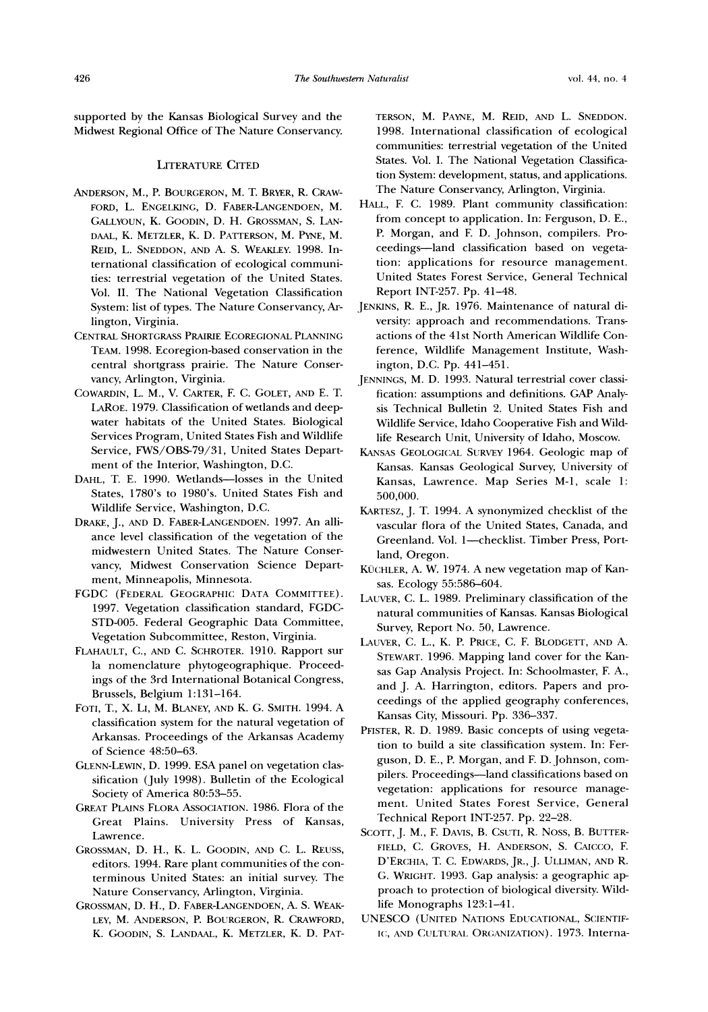supported by the Kansas Biological Survey and the Midwest Regional Office of The Nature Conservancy.

#### **LITERATURE CITED**

- ANDERSON, M., P. BOURGERON, M. T. BRYER, R. CRAW-FORD, L. ENGELKING, D. FABER-LANGENDOEN, M. GALLYOUN, K. GOODIN, D. H. GROSSMAN, S. LAN-DAAL, K. METZLER, K. D. PATTERSON, M. PYNE, M. REID, L. SNEDDON, AND A. S. WEAKLEY. 1998. International classification of ecological communities: terrestrial vegetation of the United States. Vol. 11. The National Vegetation Classification System: list of types. The Nature Conservancy, Arlington, Virginia.
- CENTRAL SHORTGRASS PRAIRIE ECOREGIONAL PLANNING TEAM.1998. Ecoregion-based conservation in the central shortgrass prairie. The Nature Conservancy, Arlington, Virginia.
- COWARDIN, L. **AM.,** V. CARTER, F. C. GOLET, AND E. T. LAROE. 1979. Classification of wetlands and deepwater habitats of the United States. Biological Services Program, United States Fish and Wildlife Service, FWS/OBS-79/31, United States Department of the Interior, Washington, D.C.
- DAHL, T. E. 1990. Wetlands-losses in the United States, 1780's to 1980's. Cnited States Fish and Wildlife Service, Washington, D.C.
- DRAKE, J., AND D. FABER-LANGENDOEN. 1997. An alliance level classification of the vegetation of the midwestern United States. The Nature Conservancy, Midwest Conservation Science Department, Minneapolis, Minnesota.
- FGDC (FEDERAL GEOGRAPHIC DATA COMMITTEE). LAUVER, C. L. 1989. Preliminary classification of the 1997. Vegetation classification standard, FGDC-STD-005. Federal Geographic Data Committee, Vegetation Subcommittee, Reston, Virginla.
- FLAHAULT, C., AND C. SCHROTER. 1910. Rapport sur la nomenclature phytogeographique. Proceedings of the 3rd International Botanical Congress, Brussels, Belgium 1: 131-164.
- FOTI, T., X. LI, M. BLANEY, AND K. G. SMITH. 1994. A classification system for the natural vegetation of Arkansas. Proceedings of the Arkansas Academy of Science 48:50-63.
- GLENN-LEWIN, D. 1999. ESA panel on vegetation classification (July 1998). Bulletin of the Ecological Society of America 80:53-55.
- GREAT PLAINS FLORA ASSOCIATION. 1986. Flora of the Great Plains. University Press of Kansas, Lawrence.
- GROSSMAN, D. H., K. L. GOODIN, AND C. L. REUSS, editors. 1994. Rare plant communities of the conterminous United States: an initial survey. The Nature Conservancy, Arlington. Virginia.
- GROSSMAN, D. H., D. FABER-LANGENDOEN, A. S. WEAK-LEY, M. ANDERSON, P. BOURGERON, R. CRAWFORD,

TERSON, M. PAYNE, M. REID, AND L. SNEDDON. 1998. International classification of ecological communities: terrestrial vegetation of the Cnited States. Vol. I. The National Vegetation Classification System: development, status, and applications. The Nature Conservancy, Arlington, Virginia.

- HALL, F. C. 1989. Plant community classification: from concept to application. In: Ferguson, D. E., P. Morgan, and F. D. Johnson, compilers. Proceedings-land classification based on vegetation: applications for resource management. United States Forest Service, General Technical Report INT-257. Pp. 41-48.
- JENKINS, R. E., JR. 1976. Maintenance of natural diversity: approach and recommendations. Transactions of the 41st North American Wildlife Conference, Wildlife Management Institute, Washington, D.C. Pp. 441-451.
- JENNINGS, M. D. 1993. Natural terrestrial cover classification: assumptions and definitions. GAP Analysis Technical Bulletin 2. United States Fish and Wildlife Service, Idaho Cooperative Fish and Wildlife Research Unit, University of Idaho, Moscow.
- KANSAS GEOLOGICAL SURVEY 1964. Geologic map of Kansas. Kansas Geological Survey, Cniversity of Kansas, Lawrence. Map Series M-1, scale 1: 500,000.
- KARTESZ, J. T. 1994. A synonymized checklist of the vascular flora of the United States, Canada, and Greenland. Vol. 1-checklist. Timber Press, Portland, Oregon.
- KÜCHLER, A. W. 1974. A new vegetation map of Kansas. Ecology 55:586-604.
- natural communities of Kansas. Kansas Biological Survey, Report No. 50, Lawrence.
- LAUVER, C. L., K. P. Price, C. F. Blodgett, and A. STEWART. 1996. Mapping land cover for the Kansas Gap Analysis Project. In: Schoolmaster, F. A., and J. A. Harrington, editors. Papers and proceedings of the applied geography conferences. Kansas City, Missouri. Pp. 336-337.
- PFISTER, R. D. 1989. Basic concepts of using vegetation to build a site classification system. In: Ferguson, D. E., P. Morgan, and F. D. Johnson, compilers. Proceedings-land classifications based on vegetation: applications for resource management. United States Forest Service, General Technical Report INT-257. Pp. 22-28.
- SCOTT, J. M., F. DAVIS, B. CSUTI, R. NOSS, B. BUTTER-FIELD, C. GROVES, H. ANDERSON, S. CAICCO, F. D'ERCHIA, T. C. EDWARDS, JR., J. ULLIMAN, AND R. C;. WRIGHT.1993. Gap analysis: a geographic approach to protection of biological diversity. Wildlife Monographs 123:1-41.
- UNESCO (UNITED NATIONS EDUCATIONAL, SCIENTIF-K. GOODIN, S. LANDAAL, K. METZLER, K. D. PAT- IC, AND CULTURAL ORGANIZATION). 1973. Interna-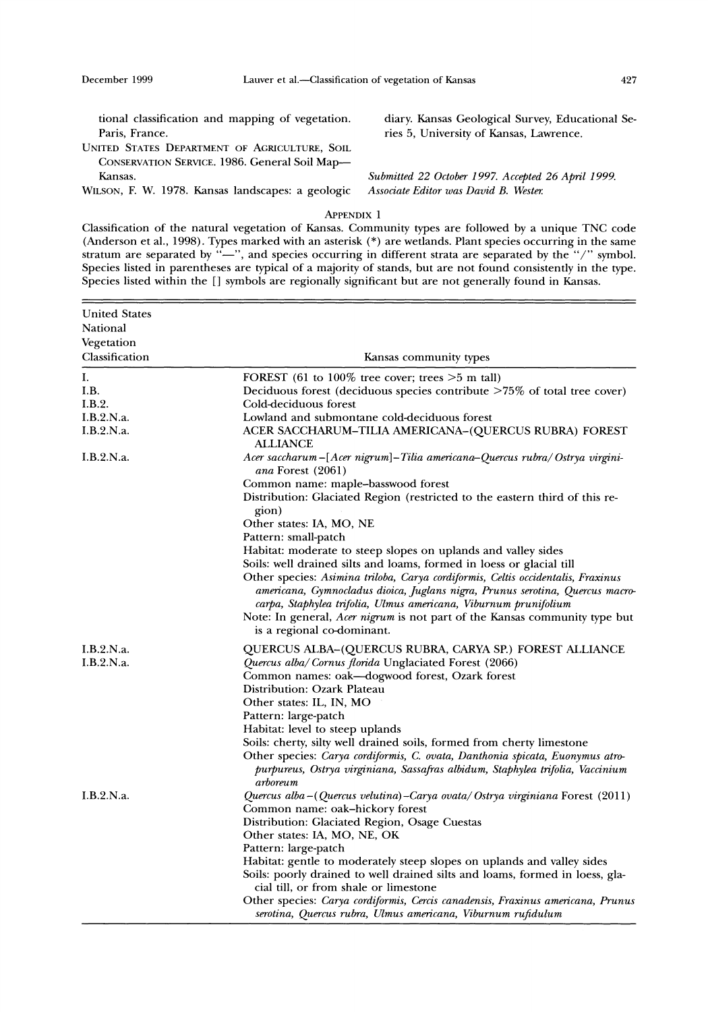tional classification and mapping of vegetation. diary. Kansas Geological Survey, Educational Se-Paris, France. The ries 5, University of Kansas, Lawrence.

UNITED STATES DEPARTMENT OF AGRICULTURE, SOIL CONSERVATION SERWCE. 1986. General Soil Map- Kansas. *Submitted 22 October 1997. Accepted 26 April 1999.* 

WILSON, F. W. 1978. Kansas landscapes: a geologic *Associate Editor was David B. Wester.* 

#### APPENDIX<sup>1</sup>

Classification of the natural vegetation of Kansas. Community types are followed by a unique TNC code (Anderson et al., 1998). Types marked with an asterisk (\*) are wetlands. Plant species occurring in the same stratum are separated by  $"$ -", and species occurring in different strata are separated by the "/" symbol. Species listed in parentheses are typical of a majority of stands, but are not found consistently in the type. Species listed within the [I symbols are regionally significant but are not generally found in Kansas.

| <b>United States</b>     |                                                                                                                                                                                                                                                                                                                                                                                                    |
|--------------------------|----------------------------------------------------------------------------------------------------------------------------------------------------------------------------------------------------------------------------------------------------------------------------------------------------------------------------------------------------------------------------------------------------|
| National                 |                                                                                                                                                                                                                                                                                                                                                                                                    |
| Vegetation               |                                                                                                                                                                                                                                                                                                                                                                                                    |
| Classification           | Kansas community types                                                                                                                                                                                                                                                                                                                                                                             |
|                          |                                                                                                                                                                                                                                                                                                                                                                                                    |
| I.                       | FOREST (61 to $100\%$ tree cover; trees $>5$ m tall)                                                                                                                                                                                                                                                                                                                                               |
| I.B.                     | Deciduous forest (deciduous species contribute >75% of total tree cover)                                                                                                                                                                                                                                                                                                                           |
| I.B.2.                   | Cold-deciduous forest                                                                                                                                                                                                                                                                                                                                                                              |
| I.B.2.N.a.<br>I.B.2.N.a. | Lowland and submontane cold-deciduous forest<br>ACER SACCHARUM-TILIA AMERICANA-(QUERCUS RUBRA) FOREST<br>ALLIANCE                                                                                                                                                                                                                                                                                  |
| I.B.2.N.a.               | Acer saccharum - [Acer nigrum] - Tilia americana - Quercus rubra/ Ostrya virgini-<br>ana Forest (2061)                                                                                                                                                                                                                                                                                             |
|                          | Common name: maple-basswood forest                                                                                                                                                                                                                                                                                                                                                                 |
|                          | Distribution: Glaciated Region (restricted to the eastern third of this re-<br>gion)                                                                                                                                                                                                                                                                                                               |
|                          | Other states: IA, MO, NE                                                                                                                                                                                                                                                                                                                                                                           |
|                          | Pattern: small-patch                                                                                                                                                                                                                                                                                                                                                                               |
|                          | Habitat: moderate to steep slopes on uplands and valley sides                                                                                                                                                                                                                                                                                                                                      |
|                          | Soils: well drained silts and loams, formed in loess or glacial till<br>Other species: Asimina triloba, Carya cordiformis, Celtis occidentalis, Fraxinus<br>americana, Gymnocladus dioica, Juglans nigra, Prunus serotina, Quercus macro-<br>carpa, Staphylea trifolia, Ulmus americana, Viburnum prunifolium<br>Note: In general, <i>Acer nigrum</i> is not part of the Kansas community type but |
|                          | is a regional co-dominant.                                                                                                                                                                                                                                                                                                                                                                         |
| I.B.2.N.a.               | QUERCUS ALBA-(QUERCUS RUBRA, CARYA SP.) FOREST ALLIANCE                                                                                                                                                                                                                                                                                                                                            |
| I.B.2.N.a.               | Quercus alba/Cornus florida Unglaciated Forest (2066)                                                                                                                                                                                                                                                                                                                                              |
|                          | Common names: oak—dogwood forest, Ozark forest                                                                                                                                                                                                                                                                                                                                                     |
|                          | Distribution: Ozark Plateau                                                                                                                                                                                                                                                                                                                                                                        |
|                          | Other states: IL, IN, MO                                                                                                                                                                                                                                                                                                                                                                           |
|                          | Pattern: large-patch                                                                                                                                                                                                                                                                                                                                                                               |
|                          | Habitat: level to steep uplands                                                                                                                                                                                                                                                                                                                                                                    |
|                          | Soils: cherty, silty well drained soils, formed from cherty limestone                                                                                                                                                                                                                                                                                                                              |
|                          | Other species: Carya cordiformis, C. ovata, Danthonia spicata, Euonymus atro-<br>purpureus, Ostrya virginiana, Sassafras albidum, Staphylea trifolia, Vaccinium<br>arboreum                                                                                                                                                                                                                        |
| I.B.2.N.a.               | Quercus alba-(Quercus velutina)-Carya ovata/Ostrya virginiana Forest (2011)                                                                                                                                                                                                                                                                                                                        |
|                          | Common name: oak-hickory forest                                                                                                                                                                                                                                                                                                                                                                    |
|                          | Distribution: Glaciated Region, Osage Cuestas                                                                                                                                                                                                                                                                                                                                                      |
|                          | Other states: IA, MO, NE, OK                                                                                                                                                                                                                                                                                                                                                                       |
|                          | Pattern: large-patch                                                                                                                                                                                                                                                                                                                                                                               |
|                          | Habitat: gentle to moderately steep slopes on uplands and valley sides                                                                                                                                                                                                                                                                                                                             |
|                          | Soils: poorly drained to well drained silts and loams, formed in loess, gla-<br>cial till, or from shale or limestone                                                                                                                                                                                                                                                                              |
|                          | Other species: Carya cordiformis, Cercis canadensis, Fraxinus americana, Prunus<br>serotina, Quercus rubra, Ulmus americana, Viburnum rufidulum                                                                                                                                                                                                                                                    |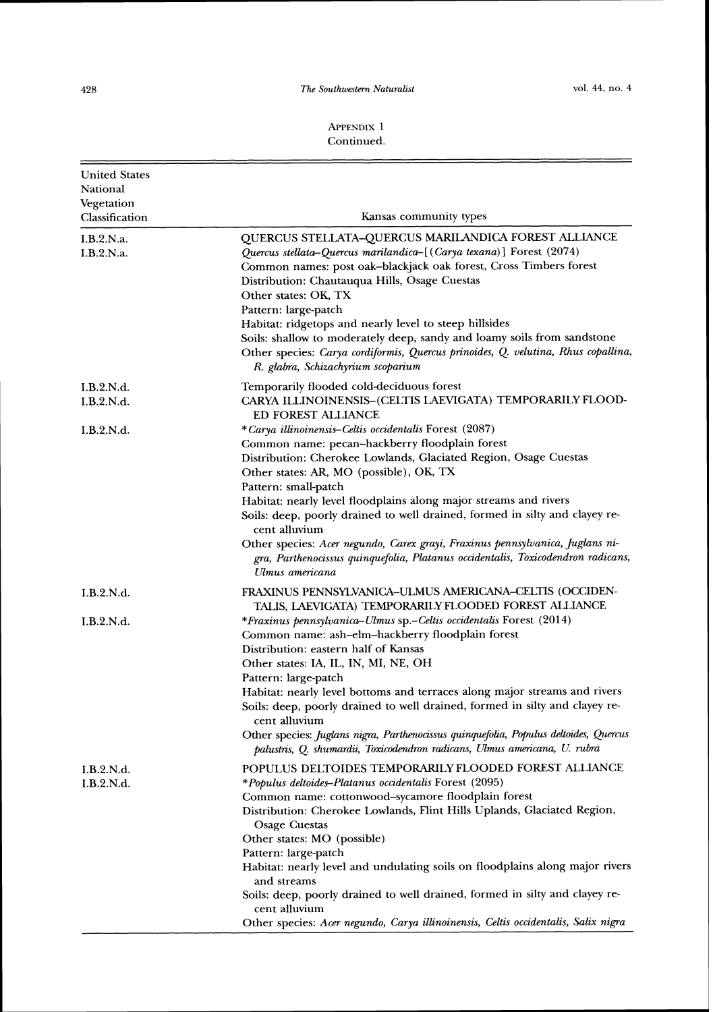| <b>United States</b><br>National<br>Vegetation<br>Classification | Kansas community types                                                                                                                                                                                                                                                                                                                                                                                                                                                                                                                                                                                                            |
|------------------------------------------------------------------|-----------------------------------------------------------------------------------------------------------------------------------------------------------------------------------------------------------------------------------------------------------------------------------------------------------------------------------------------------------------------------------------------------------------------------------------------------------------------------------------------------------------------------------------------------------------------------------------------------------------------------------|
| I.B.2.N.a.<br>I.B.2.N.a.                                         | QUERCUS STELLATA-QUERCUS MARILANDICA FOREST ALLIANCE<br>Quercus stellata-Quercus marilandica-[(Carya texana)] Forest (2074)<br>Common names: post oak-blackjack oak forest, Cross Timbers forest<br>Distribution: Chautauqua Hills, Osage Cuestas<br>Other states: OK, TX<br>Pattern: large-patch<br>Habitat: ridgetops and nearly level to steep hillsides<br>Soils: shallow to moderately deep, sandy and loamy soils from sandstone<br>Other species: Carya cordiformis, Quercus prinoides, Q. velutina, Rhus copallina,<br>R. glabra, Schizachyrium scoparium                                                                 |
| I.B.2.N.d.<br>I.B.2.N.d.                                         | Temporarily flooded cold-deciduous forest<br>CARYA ILLINOINENSIS-(CELTIS LAEVIGATA) TEMPORARILY FLOOD-                                                                                                                                                                                                                                                                                                                                                                                                                                                                                                                            |
| I.B.2.N.d.                                                       | ED FOREST ALLIANCE<br>*Carya illinoinensis–Celtis occidentalis Forest (2087)<br>Common name: pecan-hackberry floodplain forest<br>Distribution: Cherokee Lowlands, Glaciated Region, Osage Cuestas<br>Other states: AR, MO (possible), OK, TX<br>Pattern: small-patch<br>Habitat: nearly level floodplains along major streams and rivers<br>Soils: deep, poorly drained to well drained, formed in silty and clayey re-<br>cent alluvium<br>Other species: Acer negundo, Carex grayi, Fraxinus pennsylvanica, Juglans ni-<br>gra, Parthenocissus quinquefolia, Platanus occidentalis, Toxicodendron radicans,<br>Ulmus americana |
| I.B.2.N.d.                                                       | FRAXINUS PENNSYLVANICA-ULMUS AMERICANA-CELTIS (OCCIDEN-<br>TALIS, LAEVIGATA) TEMPORARILY FLOODED FOREST ALLIANCE                                                                                                                                                                                                                                                                                                                                                                                                                                                                                                                  |
| I.B.2.N.d.                                                       | *Fraxinus pennsylvanica–Ulmus sp.–Celtis occidentalis Forest (2014)<br>Common name: ash-elm-hackberry floodplain forest<br>Distribution: eastern half of Kansas<br>Other states: IA, IL, IN, MI, NE, OH<br>Pattern: large-patch<br>Habitat: nearly level bottoms and terraces along major streams and rivers<br>Soils: deep, poorly drained to well drained, formed in silty and clayey re-<br>cent alluvium<br>Other species: Juglans nigra, Parthenocissus quinquefolia, Populus deltoides, Quercus                                                                                                                             |
|                                                                  | palustris, Q. shumardii, Toxicodendron radicans, Ulmus americana, U. rubra                                                                                                                                                                                                                                                                                                                                                                                                                                                                                                                                                        |
| I.B.2.N.d.<br>1.B.2.N.d.                                         | POPULUS DELTOIDES TEMPORARILY FLOODED FOREST ALLIANCE<br>*Populus deltoides-Platanus occidentalis Forest (2095)<br>Common name: cottonwood-sycamore floodplain forest<br>Distribution: Cherokee Lowlands, Flint Hills Uplands, Glaciated Region,<br><b>Osage Cuestas</b><br>Other states: MO (possible)<br>Pattern: large-patch<br>Habitat: nearly level and undulating soils on floodplains along major rivers<br>and streams                                                                                                                                                                                                    |
|                                                                  | Soils: deep, poorly drained to well drained, formed in silty and clayey re-<br>cent alluvium<br>Other species: Acer negundo, Carya illinoinensis, Celtis occidentalis, Salix nigra                                                                                                                                                                                                                                                                                                                                                                                                                                                |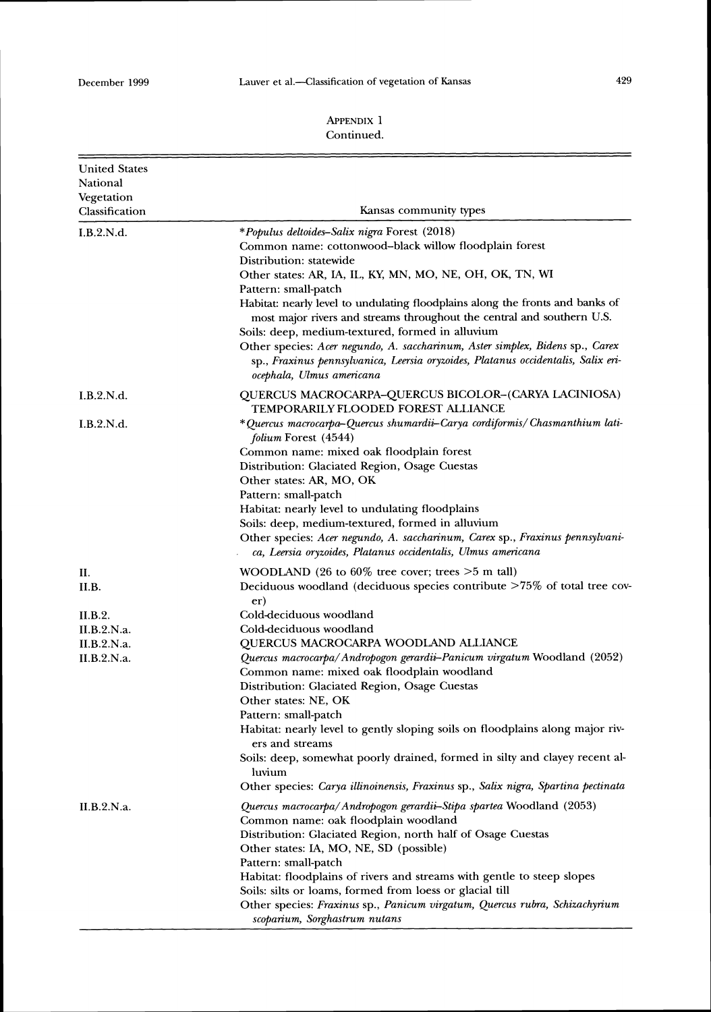E

| <b>United States</b><br>National<br>Vegetation<br>Classification | Kansas community types                                                                                                                                                                          |
|------------------------------------------------------------------|-------------------------------------------------------------------------------------------------------------------------------------------------------------------------------------------------|
| I.B.2.N.d.                                                       | *Populus deltoides–Salix nigra Forest (2018)                                                                                                                                                    |
|                                                                  | Common name: cottonwood–black willow floodplain forest                                                                                                                                          |
|                                                                  | Distribution: statewide                                                                                                                                                                         |
|                                                                  | Other states: AR, IA, IL, KY, MN, MO, NE, OH, OK, TN, WI                                                                                                                                        |
|                                                                  | Pattern: small-patch                                                                                                                                                                            |
|                                                                  | Habitat: nearly level to undulating floodplains along the fronts and banks of<br>most major rivers and streams throughout the central and southern U.S.                                         |
|                                                                  | Soils: deep, medium-textured, formed in alluvium                                                                                                                                                |
|                                                                  | Other species: Acer negundo, A. saccharinum, Aster simplex, Bidens sp., Carex<br>sp., Fraxinus pennsylvanica, Leersia oryzoides, Platanus occidentalis, Salix eri-<br>ocephala, Ulmus americana |
| I.B.2.N.d.                                                       | QUERCUS MACROCARPA-QUERCUS BICOLOR-(CARYA LACINIOSA)<br>TEMPORARILY FLOODED FOREST ALLIANCE                                                                                                     |
| I.B.2.N.d.                                                       | * Quercus macrocarpa-Quercus shumardii-Carya cordiformis/ Chasmanthium lati-<br><i>folium</i> Forest (4544)                                                                                     |
|                                                                  | Common name: mixed oak floodplain forest                                                                                                                                                        |
|                                                                  | Distribution: Glaciated Region, Osage Cuestas                                                                                                                                                   |
|                                                                  | Other states: AR, MO, OK                                                                                                                                                                        |
|                                                                  | Pattern: small-patch                                                                                                                                                                            |
|                                                                  | Habitat: nearly level to undulating floodplains                                                                                                                                                 |
|                                                                  | Soils: deep, medium-textured, formed in alluvium<br>Other species: Acer negundo, A. saccharinum, Carex sp., Fraxinus pennsylvani-                                                               |
|                                                                  | ca, Leersia oryzoides, Platanus occidentalis, Ulmus americana                                                                                                                                   |
| П.                                                               | WOODLAND (26 to $60\%$ tree cover; trees $>5$ m tall)                                                                                                                                           |
| II.B.                                                            | Deciduous woodland (deciduous species contribute >75% of total tree cov-<br>er)                                                                                                                 |
| II.B.2.                                                          | Cold-deciduous woodland                                                                                                                                                                         |
| II.B.2.N.a.                                                      | Cold-deciduous woodland                                                                                                                                                                         |
| II.B.2.N.a.                                                      | QUERCUS MACROCARPA WOODLAND ALLIANCE                                                                                                                                                            |
| II.B.2.N.a.                                                      | Quercus macrocarpa/Andropogon gerardii-Panicum virgatum Woodland (2052)<br>Common name: mixed oak floodplain woodland                                                                           |
|                                                                  | Distribution: Glaciated Region, Osage Cuestas                                                                                                                                                   |
|                                                                  | Other states: NE, OK                                                                                                                                                                            |
|                                                                  | Pattern: small-patch<br>Habitat: nearly level to gently sloping soils on floodplains along major riv-<br>ers and streams                                                                        |
|                                                                  | Soils: deep, somewhat poorly drained, formed in silty and clayey recent al-<br>luvium                                                                                                           |
|                                                                  | Other species: Carya illinoinensis, Fraxinus sp., Salix nigra, Spartina pectinata                                                                                                               |
| II.B.2.N.a.                                                      | Quercus macrocarpa/Andropogon gerardii-Stipa spartea Woodland (2053)<br>Common name: oak floodplain woodland                                                                                    |
|                                                                  | Distribution: Glaciated Region, north half of Osage Cuestas                                                                                                                                     |
|                                                                  | Other states: IA, MO, NE, SD (possible)                                                                                                                                                         |
|                                                                  | Pattern: small-patch                                                                                                                                                                            |
|                                                                  | Habitat: floodplains of rivers and streams with gentle to steep slopes                                                                                                                          |
|                                                                  | Soils: silts or loams, formed from loess or glacial till                                                                                                                                        |
|                                                                  | Other species: Fraxinus sp., Panicum virgatum, Quercus rubra, Schizachyrium<br>scoparium, Sorghastrum nutans                                                                                    |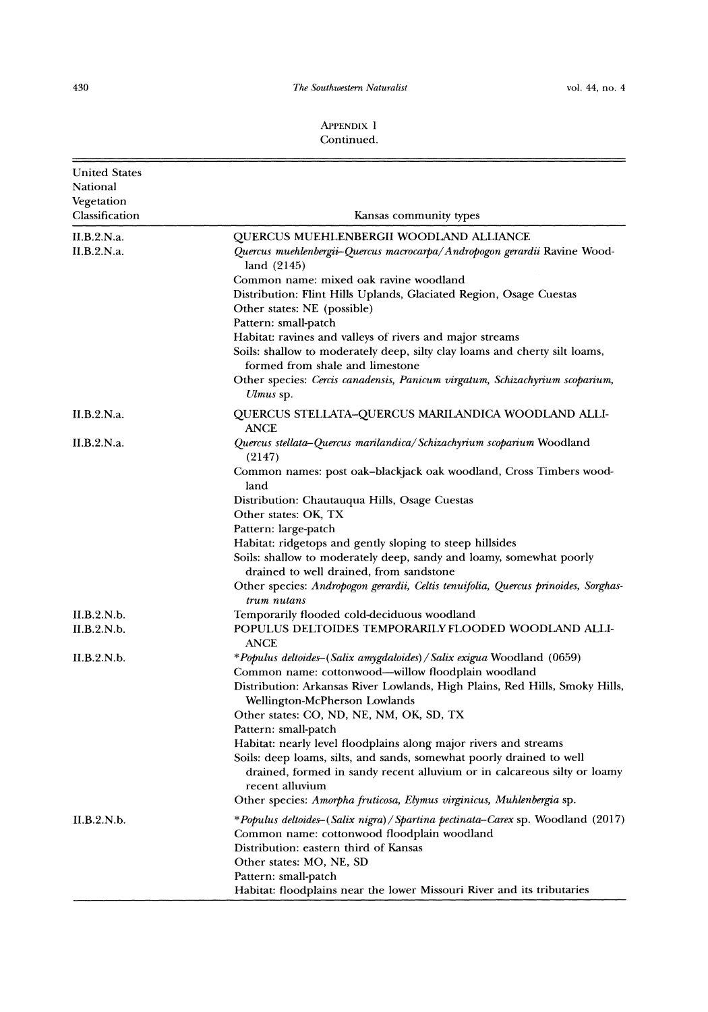# The Southwestern Naturalist

| <b>United States</b><br>National |                                                                                                                                                                           |
|----------------------------------|---------------------------------------------------------------------------------------------------------------------------------------------------------------------------|
| Vegetation                       |                                                                                                                                                                           |
| Classification                   | Kansas community types                                                                                                                                                    |
| II.B.2.N.a.                      | QUERCUS MUEHLENBERGII WOODLAND ALLIANCE                                                                                                                                   |
| II.B.2.N.a.                      | Quercus muehlenbergii–Quercus macrocarpa/Andropogon gerardii Ravine Wood-<br>land (2145)                                                                                  |
|                                  | Common name: mixed oak ravine woodland                                                                                                                                    |
|                                  | Distribution: Flint Hills Uplands, Glaciated Region, Osage Cuestas<br>Other states: NE (possible)                                                                         |
|                                  | Pattern: small-patch                                                                                                                                                      |
|                                  | Habitat: ravines and valleys of rivers and major streams<br>Soils: shallow to moderately deep, silty clay loams and cherty silt loams,<br>formed from shale and limestone |
|                                  | Other species: Cercis canadensis, Panicum virgatum, Schizachyrium scoparium,<br>Ulmus sp.                                                                                 |
| II.B.2.N.a.                      | QUERCUS STELLATA-QUERCUS MARILANDICA WOODLAND ALLI-<br><b>ANCE</b>                                                                                                        |
| II.B.2.N.a.                      | Quercus stellata-Quercus marilandica/Schizachyrium scoparium Woodland<br>(2147)                                                                                           |
|                                  | Common names: post oak-blackjack oak woodland, Cross Timbers wood-<br>land                                                                                                |
|                                  | Distribution: Chautauqua Hills, Osage Cuestas                                                                                                                             |
|                                  | Other states: OK, TX                                                                                                                                                      |
|                                  | Pattern: large-patch                                                                                                                                                      |
|                                  | Habitat: ridgetops and gently sloping to steep hillsides<br>Soils: shallow to moderately deep, sandy and loamy, somewhat poorly                                           |
|                                  | drained to well drained, from sandstone                                                                                                                                   |
|                                  | Other species: Andropogon gerardii, Celtis tenuifolia, Quercus prinoides, Sorghas-<br>trum nutans                                                                         |
| II.B.2.N.b.                      | Temporarily flooded cold-deciduous woodland                                                                                                                               |
| II.B.2.N.b.                      | POPULUS DELTOIDES TEMPORARILY FLOODED WOODLAND ALLI-<br>ANCE                                                                                                              |
| II.B.2.N.b.                      | *Populus deltoides-(Salix amygdaloides)/Salix exigua Woodland (0659)                                                                                                      |
|                                  | Common name: cottonwood—willow floodplain woodland                                                                                                                        |
|                                  | Distribution: Arkansas River Lowlands, High Plains, Red Hills, Smoky Hills,                                                                                               |
|                                  | Wellington-McPherson Lowlands<br>Other states: CO, ND, NE, NM, OK, SD, TX                                                                                                 |
|                                  | Pattern: small-patch                                                                                                                                                      |
|                                  | Habitat: nearly level floodplains along major rivers and streams                                                                                                          |
|                                  | Soils: deep loams, silts, and sands, somewhat poorly drained to well<br>drained, formed in sandy recent alluvium or in calcareous silty or loamy                          |
|                                  | recent alluvium<br>Other species: Amorpha fruticosa, Elymus virginicus, Muhlenbergia sp.                                                                                  |
| II.B.2.N.b.                      | *Populus deltoides–(Salix nigra)/Spartina pectinata–Carex sp. Woodland (2017)                                                                                             |
|                                  | Common name: cottonwood floodplain woodland                                                                                                                               |
|                                  | Distribution: eastern third of Kansas                                                                                                                                     |
|                                  | Other states: MO, NE, SD                                                                                                                                                  |
|                                  | Pattern: small-patch<br>Habitat: floodplains near the lower Missouri River and its tributaries                                                                            |
|                                  |                                                                                                                                                                           |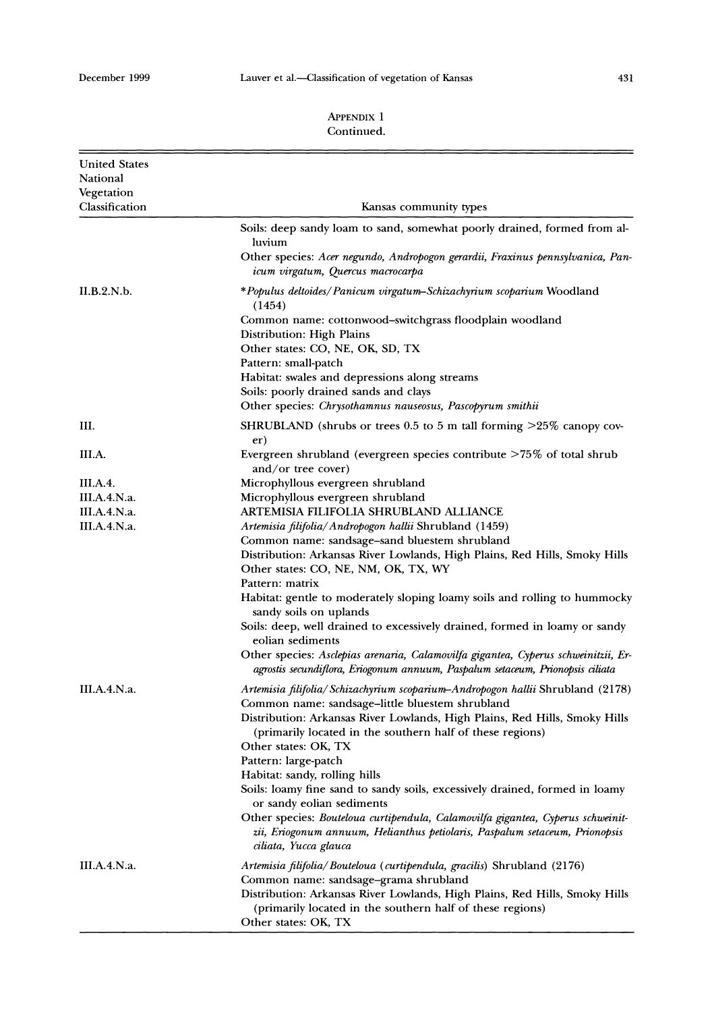#### 431

| <b>United States</b><br>National<br>Vegetation |                                                                                                                                                                                                                                                                                                                                                                                                                                                                                                                                                                                                                                                                       |
|------------------------------------------------|-----------------------------------------------------------------------------------------------------------------------------------------------------------------------------------------------------------------------------------------------------------------------------------------------------------------------------------------------------------------------------------------------------------------------------------------------------------------------------------------------------------------------------------------------------------------------------------------------------------------------------------------------------------------------|
| Classification                                 | Kansas community types                                                                                                                                                                                                                                                                                                                                                                                                                                                                                                                                                                                                                                                |
|                                                | Soils: deep sandy loam to sand, somewhat poorly drained, formed from al-<br>luvium                                                                                                                                                                                                                                                                                                                                                                                                                                                                                                                                                                                    |
|                                                | Other species: Acer negundo, Andropogon gerardii, Fraxinus pennsylvanica, Pan-<br>icum virgatum, Quercus macrocarpa                                                                                                                                                                                                                                                                                                                                                                                                                                                                                                                                                   |
| II.B.2.N.b.                                    | *Populus deltoides/Panicum virgatum–Schizachyrium scoparium Woodland<br>(1454)                                                                                                                                                                                                                                                                                                                                                                                                                                                                                                                                                                                        |
|                                                | Common name: cottonwood–switchgrass floodplain woodland<br>Distribution: High Plains<br>Other states: CO, NE, OK, SD, TX<br>Pattern: small-patch<br>Habitat: swales and depressions along streams<br>Soils: poorly drained sands and clays<br>Other species: Chrysothamnus nauseosus, Pascopyrum smithii                                                                                                                                                                                                                                                                                                                                                              |
| Ш.                                             | SHRUBLAND (shrubs or trees 0.5 to 5 m tall forming $>25\%$ canopy cov-                                                                                                                                                                                                                                                                                                                                                                                                                                                                                                                                                                                                |
| III.A.                                         | er)<br>Evergreen shrubland (evergreen species contribute $>75\%$ of total shrub<br>and/or tree cover)                                                                                                                                                                                                                                                                                                                                                                                                                                                                                                                                                                 |
| III.A.4.                                       | Microphyllous evergreen shrubland                                                                                                                                                                                                                                                                                                                                                                                                                                                                                                                                                                                                                                     |
| <b>III.A.4.N.a.</b>                            | Microphyllous evergreen shrubland                                                                                                                                                                                                                                                                                                                                                                                                                                                                                                                                                                                                                                     |
| <b>III.A.4.N.a.</b>                            | ARTEMISIA FILIFOLIA SHRUBLAND ALLIANCE                                                                                                                                                                                                                                                                                                                                                                                                                                                                                                                                                                                                                                |
| <b>III.A.4.N.a.</b>                            | Artemisia filifolia/Andropogon hallii Shrubland (1459)<br>Common name: sandsage-sand bluestem shrubland<br>Distribution: Arkansas River Lowlands, High Plains, Red Hills, Smoky Hills<br>Other states: CO, NE, NM, OK, TX, WY<br>Pattern: matrix<br>Habitat: gentle to moderately sloping loamy soils and rolling to hummocky<br>sandy soils on uplands<br>Soils: deep, well drained to excessively drained, formed in loamy or sandy<br>eolian sediments<br>Other species: Asclepias arenaria, Calamovilfa gigantea, Cyperus schweinitzii, Er-<br>agrostis secundiflora, Eriogonum annuum, Paspalum setaceum, Prionopsis ciliata                                     |
| III.A.4.N.a.                                   | Artemisia filifolia/ Schizachyrium scoparium-Andropogon hallii Shrubland (2178)<br>Common name: sandsage-little bluestem shrubland<br>Distribution: Arkansas River Lowlands, High Plains, Red Hills, Smoky Hills<br>(primarily located in the southern half of these regions)<br>Other states: OK, TX<br>Pattern: large-patch<br>Habitat: sandy, rolling hills<br>Soils: loamy fine sand to sandy soils, excessively drained, formed in loamy<br>or sandy eolian sediments<br>Other species: Bouteloua curtipendula, Calamovilfa gigantea, Cyperus schweinit-<br>zii, Eriogonum annuum, Helianthus petiolaris, Paspalum setaceum, Prionopsis<br>ciliata, Yucca glauca |
| <b>III.A.4.N.a.</b>                            | Artemisia filifolia/Bouteloua (curtipendula, gracilis) Shrubland (2176)<br>Common name: sandsage-grama shrubland<br>Distribution: Arkansas River Lowlands, High Plains, Red Hills, Smoky Hills<br>(primarily located in the southern half of these regions)<br>Other states: OK, TX                                                                                                                                                                                                                                                                                                                                                                                   |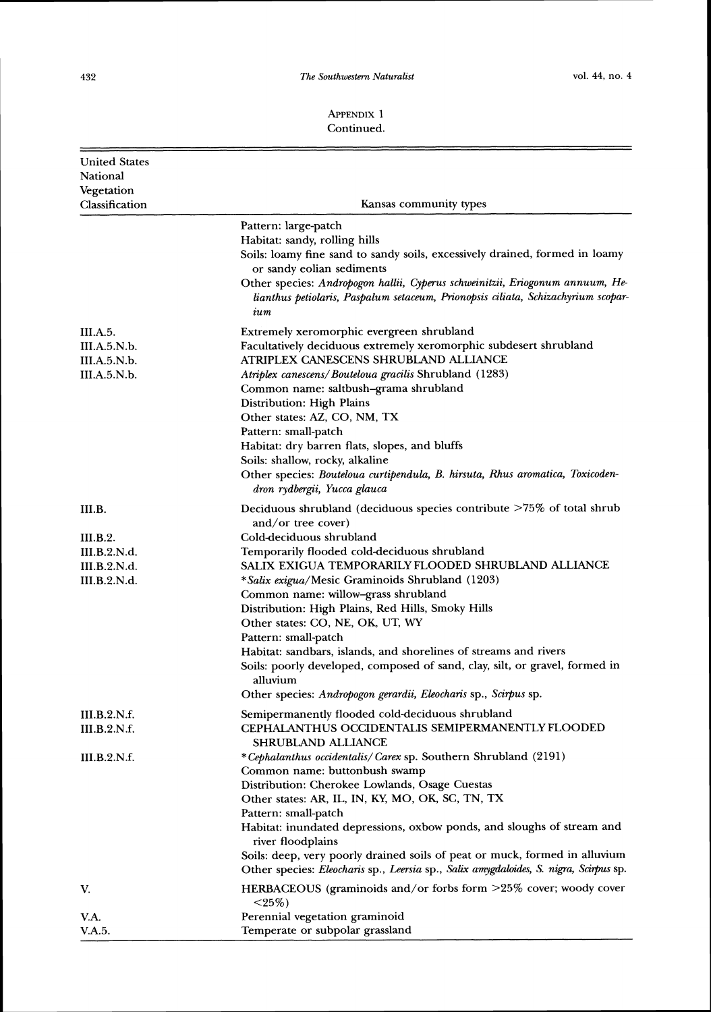#### **APPEXDIX**1 Continued.

| <b>United States</b><br>National<br>Vegetation<br>Classification | Kansas community types                                                                                                                                                                                                                                                                                                                                                                                                                                                                                                                                                                             |
|------------------------------------------------------------------|----------------------------------------------------------------------------------------------------------------------------------------------------------------------------------------------------------------------------------------------------------------------------------------------------------------------------------------------------------------------------------------------------------------------------------------------------------------------------------------------------------------------------------------------------------------------------------------------------|
|                                                                  | Pattern: large-patch<br>Habitat: sandy, rolling hills<br>Soils: loamy fine sand to sandy soils, excessively drained, formed in loamy<br>or sandy eolian sediments<br>Other species: Andropogon hallii, Cyperus schweinitzii, Eriogonum annuum, He-<br>lianthus petiolaris, Paspalum setaceum, Prionopsis ciliata, Schizachyrium scopar-<br>ium                                                                                                                                                                                                                                                     |
| III.A.5.<br>III.A.5.N.b.<br>III.A.5.N.b.<br><b>III.A.5.N.b.</b>  | Extremely xeromorphic evergreen shrubland<br>Facultatively deciduous extremely xeromorphic subdesert shrubland<br>ATRIPLEX CANESCENS SHRUBLAND ALLIANCE<br>Atriplex canescens/Bouteloua gracilis Shrubland (1283)<br>Common name: saltbush-grama shrubland<br>Distribution: High Plains<br>Other states: AZ, CO, NM, TX<br>Pattern: small-patch<br>Habitat: dry barren flats, slopes, and bluffs<br>Soils: shallow, rocky, alkaline<br>Other species: Bouteloua curtipendula, B. hirsuta, Rhus aromatica, Toxicoden-<br>dron rydbergii, Yucca glauca                                               |
| III.B.                                                           | Deciduous shrubland (deciduous species contribute >75% of total shrub                                                                                                                                                                                                                                                                                                                                                                                                                                                                                                                              |
| III.B.2.<br>III.B.2.N.d.<br>III.B.2.N.d.<br>III.B.2.N.d.         | and/or tree cover)<br>Cold-deciduous shrubland<br>Temporarily flooded cold-deciduous shrubland<br>SALIX EXIGUA TEMPORARILY FLOODED SHRUBLAND ALLIANCE<br>*Salix exigua/Mesic Graminoids Shrubland (1203)<br>Common name: willow-grass shrubland<br>Distribution: High Plains, Red Hills, Smoky Hills<br>Other states: CO, NE, OK, UT, WY<br>Pattern: small-patch<br>Habitat: sandbars, islands, and shorelines of streams and rivers<br>Soils: poorly developed, composed of sand, clay, silt, or gravel, formed in<br>alluvium<br>Other species: Andropogon gerardii, Eleocharis sp., Scirpus sp. |
| <b>III.B.2.N.f.</b><br>III.B.2.N.f.                              | Semipermanently flooded cold-deciduous shrubland<br><b>CEPHALANTHUS OCCIDENTALIS SEMIPERMANENTLY FLOODED</b>                                                                                                                                                                                                                                                                                                                                                                                                                                                                                       |
| III.B.2.N.f.                                                     | SHRUBLAND ALLIANCE<br>*Cephalanthus occidentalis/Carex sp. Southern Shrubland (2191)<br>Common name: buttonbush swamp<br>Distribution: Cherokee Lowlands, Osage Cuestas<br>Other states: AR, IL, IN, KY, MO, OK, SC, TN, TX<br>Pattern: small-patch<br>Habitat: inundated depressions, oxbow ponds, and sloughs of stream and<br>river floodplains<br>Soils: deep, very poorly drained soils of peat or muck, formed in alluvium<br>Other species: Eleocharis sp., Leersia sp., Salix amygdaloides, S. nigra, Scirpus sp.                                                                          |
| V.                                                               | HERBACEOUS (graminoids and/or forbs form >25% cover; woody cover<br>$<$ 25%)                                                                                                                                                                                                                                                                                                                                                                                                                                                                                                                       |
| V.A.<br>V.A.5.                                                   | Perennial vegetation graminoid<br>Temperate or subpolar grassland                                                                                                                                                                                                                                                                                                                                                                                                                                                                                                                                  |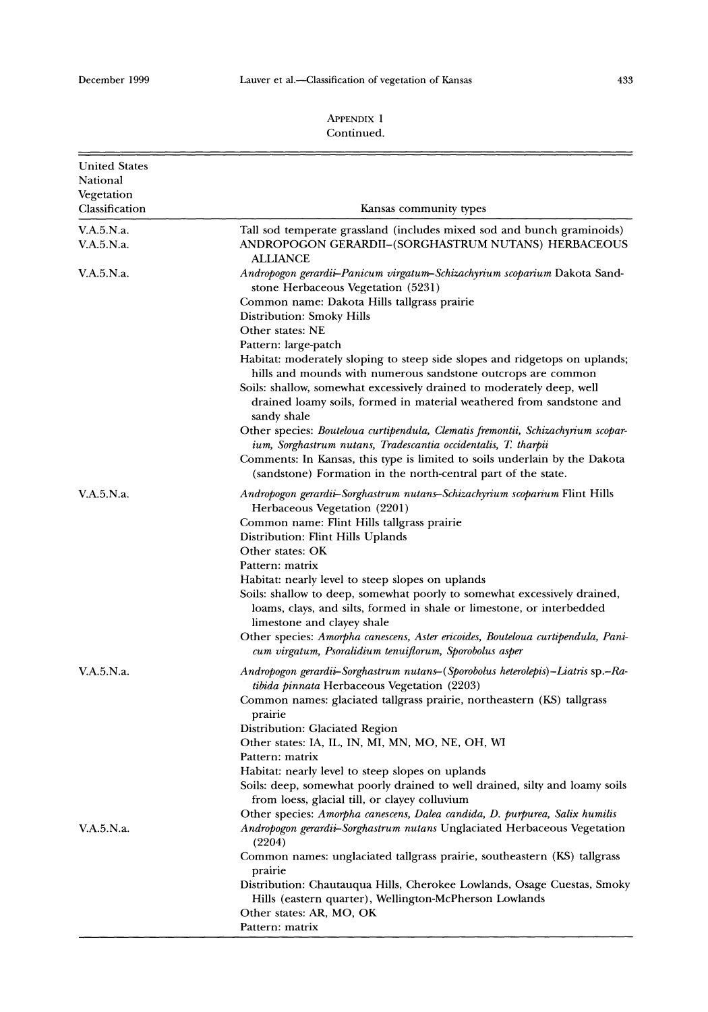# 433

| <b>United States</b><br>National |                                                                                                                                                                                                                                                                                                                     |
|----------------------------------|---------------------------------------------------------------------------------------------------------------------------------------------------------------------------------------------------------------------------------------------------------------------------------------------------------------------|
| Vegetation<br>Classification     | Kansas community types                                                                                                                                                                                                                                                                                              |
| V.A.5.N.a.<br>V.A.5.N.a.         | Tall sod temperate grassland (includes mixed sod and bunch graminoids)<br>ANDROPOGON GERARDII-(SORGHASTRUM NUTANS) HERBACEOUS                                                                                                                                                                                       |
| V.A.5.N.a.                       | ALLIANCE<br>Andropogon gerardii-Panicum virgatum-Schizachyrium scoparium Dakota Sand-<br>stone Herbaceous Vegetation (5231)                                                                                                                                                                                         |
|                                  | Common name: Dakota Hills tallgrass prairie<br>Distribution: Smoky Hills                                                                                                                                                                                                                                            |
|                                  | Other states: NE                                                                                                                                                                                                                                                                                                    |
|                                  | Pattern: large-patch<br>Habitat: moderately sloping to steep side slopes and ridgetops on uplands;<br>hills and mounds with numerous sandstone outcrops are common<br>Soils: shallow, somewhat excessively drained to moderately deep, well<br>drained loamy soils, formed in material weathered from sandstone and |
|                                  | sandy shale                                                                                                                                                                                                                                                                                                         |
|                                  | Other species: Bouteloua curtipendula, Clematis fremontii, Schizachyrium scopar-<br>ium, Sorghastrum nutans, Tradescantia occidentalis, T. tharpii<br>Comments: In Kansas, this type is limited to soils underlain by the Dakota                                                                                    |
|                                  | (sandstone) Formation in the north-central part of the state.                                                                                                                                                                                                                                                       |
| V.A.5.N.a.                       | Andropogon gerardii-Sorghastrum nutans-Schizachyrium scoparium Flint Hills<br>Herbaceous Vegetation (2201)                                                                                                                                                                                                          |
|                                  | Common name: Flint Hills tallgrass prairie<br>Distribution: Flint Hills Uplands                                                                                                                                                                                                                                     |
|                                  | Other states: OK                                                                                                                                                                                                                                                                                                    |
|                                  | Pattern: matrix<br>Habitat: nearly level to steep slopes on uplands                                                                                                                                                                                                                                                 |
|                                  | Soils: shallow to deep, somewhat poorly to somewhat excessively drained,<br>loams, clays, and silts, formed in shale or limestone, or interbedded<br>limestone and clayey shale                                                                                                                                     |
|                                  | Other species: Amorpha canescens, Aster ericoides, Bouteloua curtipendula, Pani-<br>cum virgatum, Psoralidium tenuiflorum, Sporobolus asper                                                                                                                                                                         |
| V.A.5.N.a.                       | Andropogon gerardii-Sorghastrum nutans-(Sporobolus heterolepis)-Liatris sp.-Ra-<br><i>tibida pinnata</i> Herbaceous Vegetation (2203)                                                                                                                                                                               |
|                                  | Common names: glaciated tallgrass prairie, northeastern (KS) tallgrass<br>prairie                                                                                                                                                                                                                                   |
|                                  | Distribution: Glaciated Region<br>Other states: IA, IL, IN, MI, MN, MO, NE, OH, WI<br>Pattern: matrix                                                                                                                                                                                                               |
|                                  | Habitat: nearly level to steep slopes on uplands                                                                                                                                                                                                                                                                    |
|                                  | Soils: deep, somewhat poorly drained to well drained, silty and loamy soils<br>from loess, glacial till, or clayey colluvium                                                                                                                                                                                        |
|                                  | Other species: Amorpha canescens, Dalea candida, D. purpurea, Salix humilis                                                                                                                                                                                                                                         |
| V.A.5.N.a.                       | Andropogon gerardii-Sorghastrum nutans Unglaciated Herbaceous Vegetation<br>(2204)                                                                                                                                                                                                                                  |
|                                  | Common names: unglaciated tallgrass prairie, southeastern (KS) tallgrass<br>prairie                                                                                                                                                                                                                                 |
|                                  | Distribution: Chautauqua Hills, Cherokee Lowlands, Osage Cuestas, Smoky<br>Hills (eastern quarter), Wellington-McPherson Lowlands                                                                                                                                                                                   |
|                                  | Other states: AR, MO, OK<br>Pattern: matrix                                                                                                                                                                                                                                                                         |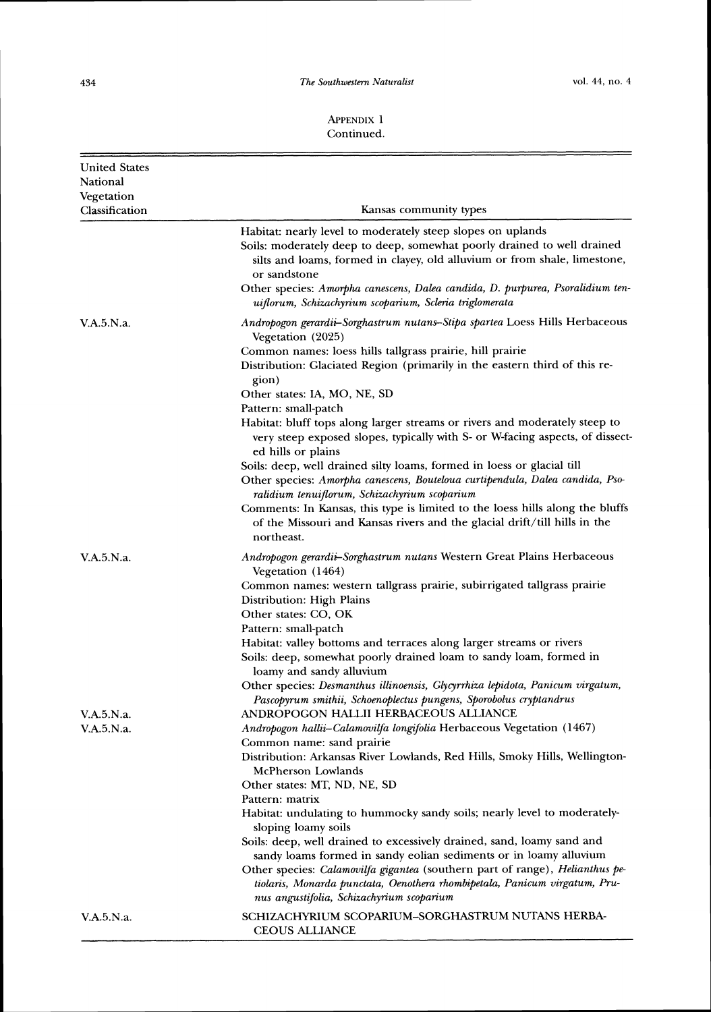$\equiv$ 

#### APPENDIX 1 Continued.

| <b>United States</b><br>National<br>Vegetation |                                                                                                                                                                                                                                                                                                                                                                                  |
|------------------------------------------------|----------------------------------------------------------------------------------------------------------------------------------------------------------------------------------------------------------------------------------------------------------------------------------------------------------------------------------------------------------------------------------|
| Classification                                 | Kansas community types                                                                                                                                                                                                                                                                                                                                                           |
|                                                | Habitat: nearly level to moderately steep slopes on uplands<br>Soils: moderately deep to deep, somewhat poorly drained to well drained<br>silts and loams, formed in clayey, old alluvium or from shale, limestone,<br>or sandstone<br>Other species: Amorpha canescens, Dalea candida, D. purpurea, Psoralidium ten-<br>uiflorum, Schizachyrium scoparium, Scleria triglomerata |
| V.A.5.N.a.                                     | Andropogon gerardii-Sorghastrum nutans-Stipa spartea Loess Hills Herbaceous                                                                                                                                                                                                                                                                                                      |
|                                                | Vegetation (2025)                                                                                                                                                                                                                                                                                                                                                                |
|                                                | Common names: loess hills tallgrass prairie, hill prairie<br>Distribution: Glaciated Region (primarily in the eastern third of this re-<br>gion)                                                                                                                                                                                                                                 |
|                                                | Other states: IA, MO, NE, SD                                                                                                                                                                                                                                                                                                                                                     |
|                                                | Pattern: small-patch                                                                                                                                                                                                                                                                                                                                                             |
|                                                | Habitat: bluff tops along larger streams or rivers and moderately steep to<br>very steep exposed slopes, typically with S- or W-facing aspects, of dissect-<br>ed hills or plains                                                                                                                                                                                                |
|                                                | Soils: deep, well drained silty loams, formed in loess or glacial till<br>Other species: Amorpha canescens, Bouteloua curtipendula, Dalea candida, Pso-<br>ralidium tenuiflorum, Schizachyrium scoparium                                                                                                                                                                         |
|                                                | Comments: In Kansas, this type is limited to the loess hills along the bluffs<br>of the Missouri and Kansas rivers and the glacial drift/till hills in the<br>northeast.                                                                                                                                                                                                         |
| V.A.5.N.a.                                     | Andropogon gerardii-Sorghastrum nutans Western Great Plains Herbaceous<br>Vegetation (1464)                                                                                                                                                                                                                                                                                      |
|                                                | Common names: western tallgrass prairie, subirrigated tallgrass prairie                                                                                                                                                                                                                                                                                                          |
|                                                | Distribution: High Plains                                                                                                                                                                                                                                                                                                                                                        |
|                                                | Other states: CO, OK                                                                                                                                                                                                                                                                                                                                                             |
|                                                | Pattern: small-patch                                                                                                                                                                                                                                                                                                                                                             |
|                                                | Habitat: valley bottoms and terraces along larger streams or rivers<br>Soils: deep, somewhat poorly drained loam to sandy loam, formed in<br>loamy and sandy alluvium                                                                                                                                                                                                            |
|                                                | Other species: Desmanthus illinoensis, Glycyrrhiza lepidota, Panicum virgatum,<br>Pascopyrum smithii, Schoenoplectus pungens, Sporobolus cryptandrus                                                                                                                                                                                                                             |
| V.A.5.N.a.                                     | ANDROPOGON HALLII HERBACEOUS ALLIANCE                                                                                                                                                                                                                                                                                                                                            |
| V.A.5.N.a.                                     | Andropogon hallii-Calamovilfa longifolia Herbaceous Vegetation (1467)<br>Common name: sand prairie                                                                                                                                                                                                                                                                               |
|                                                | Distribution: Arkansas River Lowlands, Red Hills, Smoky Hills, Wellington-<br>McPherson Lowlands                                                                                                                                                                                                                                                                                 |
|                                                | Other states: MT, ND, NE, SD                                                                                                                                                                                                                                                                                                                                                     |
|                                                | Pattern: matrix                                                                                                                                                                                                                                                                                                                                                                  |
|                                                | Habitat: undulating to hummocky sandy soils; nearly level to moderately-<br>sloping loamy soils                                                                                                                                                                                                                                                                                  |
|                                                | Soils: deep, well drained to excessively drained, sand, loamy sand and<br>sandy loams formed in sandy eolian sediments or in loamy alluvium                                                                                                                                                                                                                                      |
|                                                | Other species: Calamovilfa gigantea (southern part of range), Helianthus pe-<br>tiolaris, Monarda punctata, Oenothera rhombipetala, Panicum virgatum, Pru-<br>nus angustifolia, Schizachyrium scoparium                                                                                                                                                                          |
| V.A.5.N.a.                                     | SCHIZACHYRIUM SCOPARIUM-SORGHASTRUM NUTANS HERBA-<br><b>CEOUS ALLIANCE</b>                                                                                                                                                                                                                                                                                                       |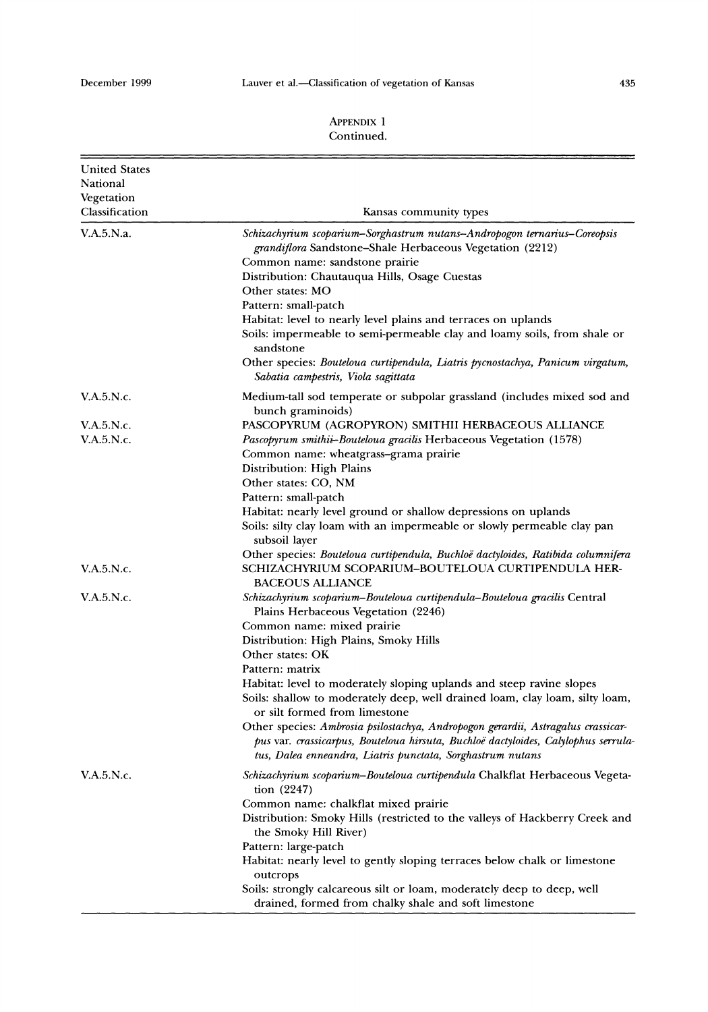#### **APPENDIX**  1 Continued.

| <b>United States</b><br>National<br>Vegetation<br>Classification | Kansas community types                                                                                                                                                                                                                                                                                                                                                                                                                                                                                                                                                                             |
|------------------------------------------------------------------|----------------------------------------------------------------------------------------------------------------------------------------------------------------------------------------------------------------------------------------------------------------------------------------------------------------------------------------------------------------------------------------------------------------------------------------------------------------------------------------------------------------------------------------------------------------------------------------------------|
| V.A.5.N.a.                                                       | Schizachyrium scoparium-Sorghastrum nutans-Andropogon ternarius-Coreopsis<br>grandiflora Sandstone-Shale Herbaceous Vegetation (2212)<br>Common name: sandstone prairie<br>Distribution: Chautauqua Hills, Osage Cuestas<br>Other states: MO<br>Pattern: small-patch<br>Habitat: level to nearly level plains and terraces on uplands<br>Soils: impermeable to semi-permeable clay and loamy soils, from shale or<br>sandstone<br>Other species: Bouteloua curtipendula, Liatris pycnostachya, Panicum virgatum,<br>Sabatia campestris, Viola sagittata                                            |
| V.A.5.N.c.                                                       | Medium-tall sod temperate or subpolar grassland (includes mixed sod and<br>bunch graminoids)                                                                                                                                                                                                                                                                                                                                                                                                                                                                                                       |
| V.A.5.N.c.<br>V.A.5.N.c.                                         | PASCOPYRUM (AGROPYRON) SMITHII HERBACEOUS ALLIANCE<br>Pascopyrum smithii-Bouteloua gracilis Herbaceous Vegetation (1578)<br>Common name: wheatgrass-grama prairie<br>Distribution: High Plains<br>Other states: CO, NM                                                                                                                                                                                                                                                                                                                                                                             |
|                                                                  | Pattern: small-patch<br>Habitat: nearly level ground or shallow depressions on uplands<br>Soils: silty clay loam with an impermeable or slowly permeable clay pan<br>subsoil layer                                                                                                                                                                                                                                                                                                                                                                                                                 |
| V.A.5.N.c.                                                       | Other species: Bouteloua curtipendula, Buchloë dactyloides, Ratibida columnifera<br>SCHIZACHYRIUM SCOPARIUM–BOUTELOUA CURTIPENDULA HER-<br><b>BACEOUS ALLIANCE</b>                                                                                                                                                                                                                                                                                                                                                                                                                                 |
| V.A.5.N.c.                                                       | Schizachyrium scoparium-Bouteloua curtipendula-Bouteloua gracilis Central<br>Plains Herbaceous Vegetation (2246)<br>Common name: mixed prairie<br>Distribution: High Plains, Smoky Hills<br>Other states: OK<br>Pattern: matrix<br>Habitat: level to moderately sloping uplands and steep ravine slopes<br>Soils: shallow to moderately deep, well drained loam, clay loam, silty loam,<br>or silt formed from limestone<br>Other species: Ambrosia psilostachya, Andropogon gerardii, Astragalus crassicar-<br>pus var. crassicarpus, Bouteloua hirsuta, Buchloë dactyloides, Calylophus serrula- |
| V.A.5.N.c.                                                       | tus, Dalea enneandra, Liatris punctata, Sorghastrum nutans<br>Schizachyrium scoparium-Bouteloua curtipendula Chalkflat Herbaceous Vegeta-                                                                                                                                                                                                                                                                                                                                                                                                                                                          |
|                                                                  | tion (2247)<br>Common name: chalkflat mixed prairie<br>Distribution: Smoky Hills (restricted to the valleys of Hackberry Creek and<br>the Smoky Hill River)<br>Pattern: large-patch<br>Habitat: nearly level to gently sloping terraces below chalk or limestone<br>outcrops<br>Soils: strongly calcareous silt or loam, moderately deep to deep, well<br>drained, formed from chalky shale and soft limestone                                                                                                                                                                                     |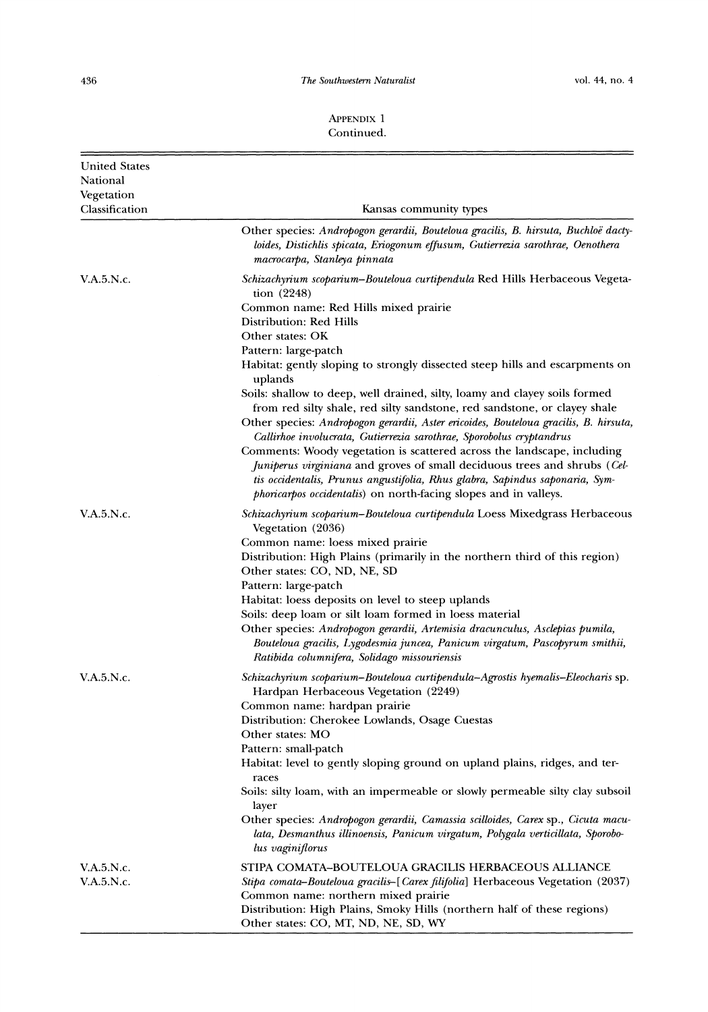$The$  Southwestern Naturalist

| <b>United States</b>         |                                                                                                                                                                                                                                         |
|------------------------------|-----------------------------------------------------------------------------------------------------------------------------------------------------------------------------------------------------------------------------------------|
| National                     |                                                                                                                                                                                                                                         |
| Vegetation<br>Classification | Kansas community types                                                                                                                                                                                                                  |
|                              | Other species: Andropogon gerardii, Bouteloua gracilis, B. hirsuta, Buchloë dacty-<br>loides, Distichlis spicata, Eriogonum effusum, Gutierrezia sarothrae, Oenothera<br>macrocarpa, Stanleya pinnata                                   |
| V.A.5.N.c.                   | Schizachyrium scoparium-Bouteloua curtipendula Red Hills Herbaceous Vegeta-<br>tion (2248)                                                                                                                                              |
|                              | Common name: Red Hills mixed prairie<br>Distribution: Red Hills<br>Other states: OK                                                                                                                                                     |
|                              | Pattern: large-patch<br>Habitat: gently sloping to strongly dissected steep hills and escarpments on<br>uplands                                                                                                                         |
|                              | Soils: shallow to deep, well drained, silty, loamy and clayey soils formed<br>from red silty shale, red silty sandstone, red sandstone, or clayey shale                                                                                 |
|                              | Other species: Andropogon gerardii, Aster ericoides, Bouteloua gracilis, B. hirsuta,<br>Callirhoe involucrata, Gutierrezia sarothrae, Sporobolus cryptandrus<br>Comments: Woody vegetation is scattered across the landscape, including |
|                              | Juniperus virginiana and groves of small deciduous trees and shrubs (Cel-<br>tis occidentalis, Prunus angustifolia, Rhus glabra, Sapindus saponaria, Sym-<br><i>phoricarpos occidentalis</i> ) on north-facing slopes and in valleys.   |
| V.A.5.N.c.                   | Schizachyrium scoparium–Bouteloua curtipendula Loess Mixedgrass Herbaceous<br>Vegetation (2036)                                                                                                                                         |
|                              | Common name: loess mixed prairie                                                                                                                                                                                                        |
|                              | Distribution: High Plains (primarily in the northern third of this region)                                                                                                                                                              |
|                              | Other states: CO, ND, NE, SD                                                                                                                                                                                                            |
|                              | Pattern: large-patch                                                                                                                                                                                                                    |
|                              | Habitat: loess deposits on level to steep uplands                                                                                                                                                                                       |
|                              | Soils: deep loam or silt loam formed in loess material                                                                                                                                                                                  |
|                              | Other species: Andropogon gerardii, Artemisia dracunculus, Asclepias pumila,<br>Bouteloua gracilis, Lygodesmia juncea, Panicum virgatum, Pascopyrum smithii,<br>Ratibida columnifera, Solidago missouriensis                            |
| <b>V.A.5.N.c.</b>            | Schizachyrium scoparium–Bouteloua curtipendula–Agrostis hyemalis–Eleocharis sp.<br>Hardpan Herbaceous Vegetation (2249)                                                                                                                 |
|                              | Common name: hardpan prairie                                                                                                                                                                                                            |
|                              | Distribution: Cherokee Lowlands, Osage Cuestas                                                                                                                                                                                          |
|                              | Other states: MO                                                                                                                                                                                                                        |
|                              | Pattern: small-patch<br>Habitat: level to gently sloping ground on upland plains, ridges, and ter-<br>races                                                                                                                             |
|                              | Soils: silty loam, with an impermeable or slowly permeable silty clay subsoil<br>layer                                                                                                                                                  |
|                              | Other species: Andropogon gerardii, Camassia scilloides, Carex sp., Cicuta macu-<br>lata, Desmanthus illinoensis, Panicum virgatum, Polygala verticillata, Sporobo-<br>lus vaginiflorus                                                 |
| V.A.5.N.c.                   | STIPA COMATA–BOUTELOUA GRACILIS HERBACEOUS ALLIANCE                                                                                                                                                                                     |
| V.A.5.N.c.                   | Stipa comata–Bouteloua gracilis–[Carex filifolia] Herbaceous Vegetation (2037)<br>Common name: northern mixed prairie                                                                                                                   |
|                              | Distribution: High Plains, Smoky Hills (northern half of these regions)<br>Other states: CO, MT, ND, NE, SD, WY                                                                                                                         |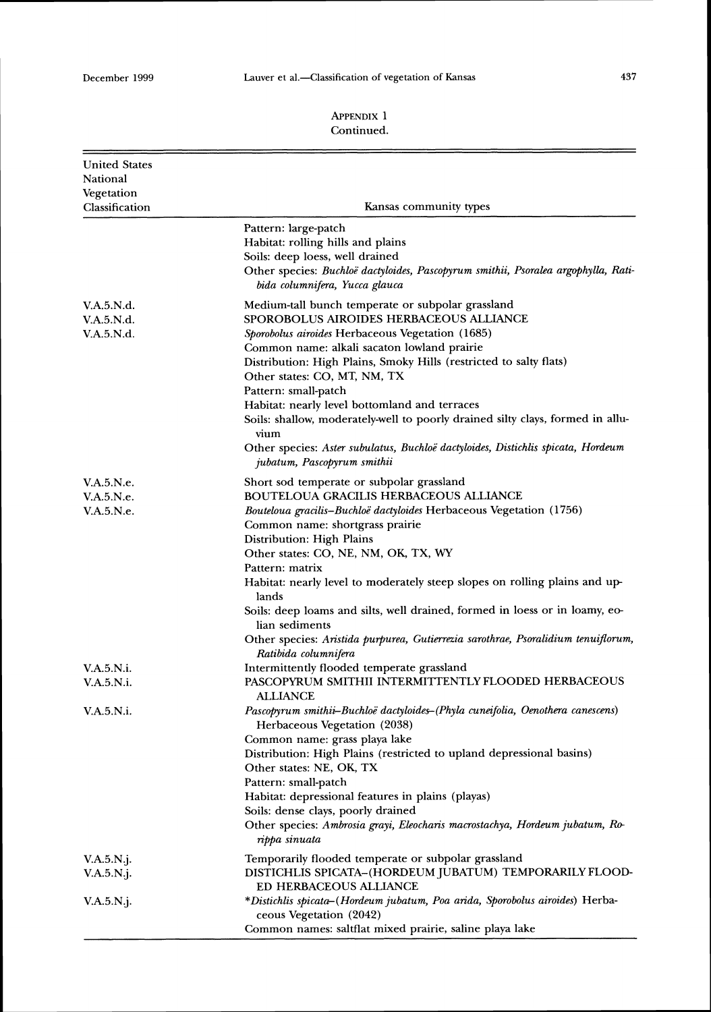Ė

# 437

| <b>United States</b><br>National<br>Vegetation<br>Classification | Kansas community types                                                                                                                                                                                                                                                                                                                                                                                                                                                                                                                                                                            |
|------------------------------------------------------------------|---------------------------------------------------------------------------------------------------------------------------------------------------------------------------------------------------------------------------------------------------------------------------------------------------------------------------------------------------------------------------------------------------------------------------------------------------------------------------------------------------------------------------------------------------------------------------------------------------|
|                                                                  | Pattern: large-patch<br>Habitat: rolling hills and plains<br>Soils: deep loess, well drained<br>Other species: Buchloë dactyloides, Pascopyrum smithii, Psoralea argophylla, Rati-<br>bida columnifera, Yucca glauca                                                                                                                                                                                                                                                                                                                                                                              |
| V.A.5.N.d.<br>V.A.5.N.d.<br>V.A.5.N.d.                           | Medium-tall bunch temperate or subpolar grassland<br>SPOROBOLUS AIROIDES HERBACEOUS ALLIANCE<br>Sporobolus airoides Herbaceous Vegetation (1685)<br>Common name: alkali sacaton lowland prairie<br>Distribution: High Plains, Smoky Hills (restricted to salty flats)<br>Other states: CO, MT, NM, TX<br>Pattern: small-patch<br>Habitat: nearly level bottomland and terraces<br>Soils: shallow, moderately-well to poorly drained silty clays, formed in allu-<br>vium<br>Other species: Aster subulatus, Buchloë dactyloides, Distichlis spicata, Hordeum<br>jubatum, Pascopyrum smithii       |
| V.A.5.N.e.<br>V.A.5.N.e.<br><b>V.A.5.N.e.</b>                    | Short sod temperate or subpolar grassland<br><b>BOUTELOUA GRACILIS HERBACEOUS ALLIANCE</b><br>Bouteloua gracilis-Buchloë dactyloides Herbaceous Vegetation (1756)<br>Common name: shortgrass prairie<br>Distribution: High Plains<br>Other states: CO, NE, NM, OK, TX, WY<br>Pattern: matrix<br>Habitat: nearly level to moderately steep slopes on rolling plains and up-<br>lands<br>Soils: deep loams and silts, well drained, formed in loess or in loamy, eo-<br>lian sediments<br>Other species: Aristida purpurea, Gutierrezia sarothrae, Psoralidium tenuiflorum,<br>Ratibida columnifera |
| V.A.5.N.i.<br>V.A.5.N.i.                                         | Intermittently flooded temperate grassland<br>PASCOPYRUM SMITHII INTERMITTENTLY FLOODED HERBACEOUS<br>ALLIANCE                                                                                                                                                                                                                                                                                                                                                                                                                                                                                    |
| V.A.5.N.i.                                                       | Pascopyrum smithii-Buchloë dactyloides-(Phyla cuneifolia, Oenothera canescens)<br>Herbaceous Vegetation (2038)<br>Common name: grass playa lake<br>Distribution: High Plains (restricted to upland depressional basins)<br>Other states: NE, OK, TX<br>Pattern: small-patch<br>Habitat: depressional features in plains (playas)<br>Soils: dense clays, poorly drained<br>Other species: Ambrosia grayi, Eleocharis macrostachya, Hordeum jubatum, Ro-<br>rippa sinuata                                                                                                                           |
| V.A.5.N.j.<br>V.A.5.N.j.                                         | Temporarily flooded temperate or subpolar grassland<br>DISTICHLIS SPICATA-(HORDEUM JUBATUM) TEMPORARILY FLOOD-<br><b>ED HERBACEOUS ALLIANCE</b>                                                                                                                                                                                                                                                                                                                                                                                                                                                   |
| $V.A.5.N.$ j.                                                    | *Distichlis spicata-(Hordeum jubatum, Poa arida, Sporobolus airoides) Herba-<br>ceous Vegetation (2042)<br>Common names: saltflat mixed prairie, saline playa lake                                                                                                                                                                                                                                                                                                                                                                                                                                |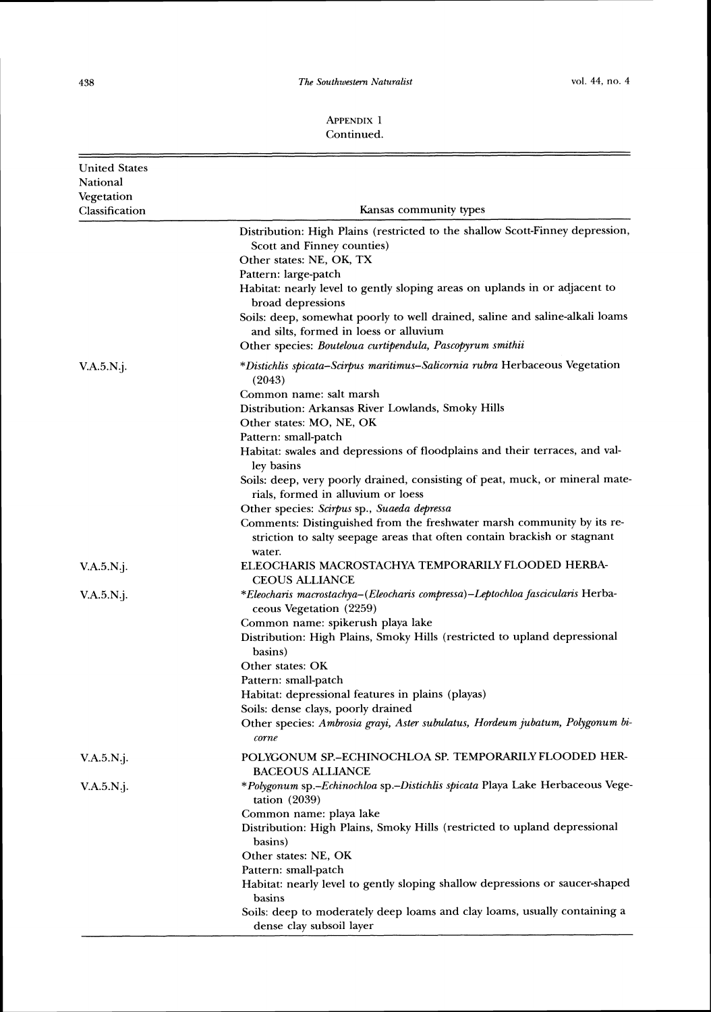*The Southwestern Naturalist*  $vol. 44$ , no. 4

| <b>United States</b><br>National |                                                                                                                                                                                                                                                                                                                                                                                                                                                                                                                                                                               |
|----------------------------------|-------------------------------------------------------------------------------------------------------------------------------------------------------------------------------------------------------------------------------------------------------------------------------------------------------------------------------------------------------------------------------------------------------------------------------------------------------------------------------------------------------------------------------------------------------------------------------|
| Vegetation<br>Classification     | Kansas community types                                                                                                                                                                                                                                                                                                                                                                                                                                                                                                                                                        |
|                                  | Distribution: High Plains (restricted to the shallow Scott-Finney depression,<br>Scott and Finney counties)<br>Other states: NE, OK, TX<br>Pattern: large-patch<br>Habitat: nearly level to gently sloping areas on uplands in or adjacent to<br>broad depressions<br>Soils: deep, somewhat poorly to well drained, saline and saline-alkali loams<br>and silts, formed in loess or alluvium                                                                                                                                                                                  |
| $V.A.5.N.$ j.                    | Other species: Bouteloua curtipendula, Pascopyrum smithii<br>*Distichlis spicata–Scirpus maritimus–Salicornia rubra Herbaceous Vegetation                                                                                                                                                                                                                                                                                                                                                                                                                                     |
|                                  | (2043)<br>Common name: salt marsh<br>Distribution: Arkansas River Lowlands, Smoky Hills<br>Other states: MO, NE, OK<br>Pattern: small-patch<br>Habitat: swales and depressions of floodplains and their terraces, and val-<br>ley basins<br>Soils: deep, very poorly drained, consisting of peat, muck, or mineral mate-<br>rials, formed in alluvium or loess<br>Other species: Scirpus sp., Suaeda depressa<br>Comments: Distinguished from the freshwater marsh community by its re-<br>striction to salty seepage areas that often contain brackish or stagnant<br>water. |
| $V.A.5.N.$ j.                    | ELEOCHARIS MACROSTACHYA TEMPORARILY FLOODED HERBA-<br><b>CEOUS ALLIANCE</b>                                                                                                                                                                                                                                                                                                                                                                                                                                                                                                   |
| $V.A.5.N.$ j.                    | *Eleocharis macrostachya–(Eleocharis compressa)–Leptochloa fascicularis Herba-<br>ceous Vegetation (2259)<br>Common name: spikerush playa lake<br>Distribution: High Plains, Smoky Hills (restricted to upland depressional<br>basins)<br>Other states: OK<br>Pattern: small-patch<br>Habitat: depressional features in plains (playas)<br>Soils: dense clays, poorly drained<br>Other species: Ambrosia grayi, Aster subulatus, Hordeum jubatum, Polygonum bi-<br>corne                                                                                                      |
| $V.A.5.N.$ j.                    | POLYGONUM SP.-ECHINOCHLOA SP. TEMPORARILY FLOODED HER-<br><b>BACEOUS ALLIANCE</b>                                                                                                                                                                                                                                                                                                                                                                                                                                                                                             |
| V.A.5.N.j.                       | *Polygonum sp.-Echinochloa sp.-Distichlis spicata Playa Lake Herbaceous Vege-<br>tation $(2039)$<br>Common name: playa lake<br>Distribution: High Plains, Smoky Hills (restricted to upland depressional<br>basins)<br>Other states: NE, OK<br>Pattern: small-patch<br>Habitat: nearly level to gently sloping shallow depressions or saucer-shaped<br>basins<br>Soils: deep to moderately deep loams and clay loams, usually containing a<br>dense clay subsoil layer                                                                                                        |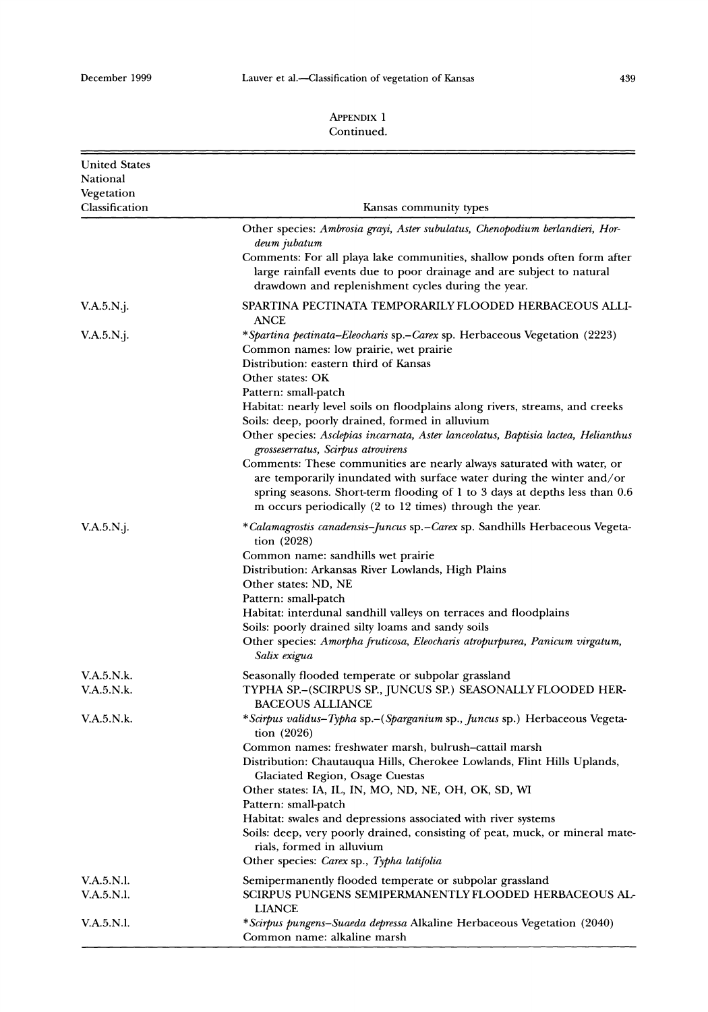#### 439

| <b>United States</b><br>National<br>Vegetation |                                                                                                                                                                                                                                                                                                                                                                                                                                                                                                                                                                                                           |
|------------------------------------------------|-----------------------------------------------------------------------------------------------------------------------------------------------------------------------------------------------------------------------------------------------------------------------------------------------------------------------------------------------------------------------------------------------------------------------------------------------------------------------------------------------------------------------------------------------------------------------------------------------------------|
| Classification                                 | Kansas community types                                                                                                                                                                                                                                                                                                                                                                                                                                                                                                                                                                                    |
|                                                | Other species: Ambrosia grayi, Aster subulatus, Chenopodium berlandieri, Hor-<br>deum jubatum                                                                                                                                                                                                                                                                                                                                                                                                                                                                                                             |
|                                                | Comments: For all playa lake communities, shallow ponds often form after<br>large rainfall events due to poor drainage and are subject to natural<br>drawdown and replenishment cycles during the year.                                                                                                                                                                                                                                                                                                                                                                                                   |
| $V.A.5.N.$ j.                                  | SPARTINA PECTINATA TEMPORARILY FLOODED HERBACEOUS ALLI-<br><b>ANCE</b>                                                                                                                                                                                                                                                                                                                                                                                                                                                                                                                                    |
| $V.A.5.N.$ j.                                  | *Spartina pectinata-Eleocharis sp.-Carex sp. Herbaceous Vegetation (2223)<br>Common names: low prairie, wet prairie<br>Distribution: eastern third of Kansas<br>Other states: OK<br>Pattern: small-patch                                                                                                                                                                                                                                                                                                                                                                                                  |
|                                                | Habitat: nearly level soils on floodplains along rivers, streams, and creeks<br>Soils: deep, poorly drained, formed in alluvium<br>Other species: Asclepias incarnata, Aster lanceolatus, Baptisia lactea, Helianthus<br>grosseserratus, Scirpus atrovirens<br>Comments: These communities are nearly always saturated with water, or<br>are temporarily inundated with surface water during the winter and/or<br>spring seasons. Short-term flooding of 1 to 3 days at depths less than 0.6<br>m occurs periodically (2 to 12 times) through the year.                                                   |
| V.A.5.N.                                       | *Calamagrostis canadensis-Juncus sp.-Carex sp. Sandhills Herbaceous Vegeta-<br>tion $(2028)$<br>Common name: sandhills wet prairie<br>Distribution: Arkansas River Lowlands, High Plains<br>Other states: ND, NE<br>Pattern: small-patch<br>Habitat: interdunal sandhill valleys on terraces and floodplains<br>Soils: poorly drained silty loams and sandy soils<br>Other species: Amorpha fruticosa, Eleocharis atropurpurea, Panicum virgatum,<br>Salix exigua                                                                                                                                         |
| V.A.5.N.k.<br>V.A.5.N.k.                       | Seasonally flooded temperate or subpolar grassland<br>TYPHA SP.-(SCIRPUS SP., JUNCUS SP.) SEASONALLY FLOODED HER-                                                                                                                                                                                                                                                                                                                                                                                                                                                                                         |
| V.A.5.N.k.                                     | <b>BACEOUS ALLIANCE</b><br>*Scirpus validus–Typha sp.– (Sparganium sp., Juncus sp.) Herbaceous Vegeta-<br>tion $(2026)$<br>Common names: freshwater marsh, bulrush-cattail marsh<br>Distribution: Chautauqua Hills, Cherokee Lowlands, Flint Hills Uplands,<br>Glaciated Region, Osage Cuestas<br>Other states: IA, IL, IN, MO, ND, NE, OH, OK, SD, WI<br>Pattern: small-patch<br>Habitat: swales and depressions associated with river systems<br>Soils: deep, very poorly drained, consisting of peat, muck, or mineral mate-<br>rials, formed in alluvium<br>Other species: Carex sp., Typha latifolia |
| V.A.5.N.I.<br>V.A.5.N.I.                       | Semipermanently flooded temperate or subpolar grassland<br>SCIRPUS PUNGENS SEMIPERMANENTLY FLOODED HERBACEOUS AL-<br><b>LIANCE</b>                                                                                                                                                                                                                                                                                                                                                                                                                                                                        |
| V.A.5.N.I.                                     | *Scirpus pungens-Suaeda depressa Alkaline Herbaceous Vegetation (2040)<br>Common name: alkaline marsh                                                                                                                                                                                                                                                                                                                                                                                                                                                                                                     |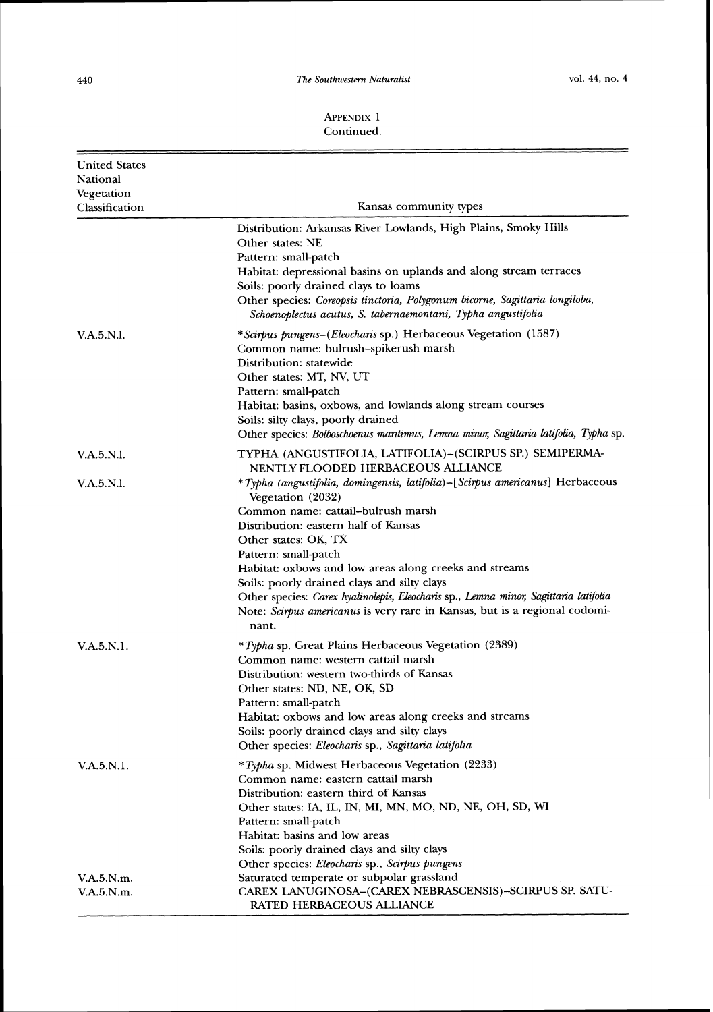#### **APPESDIX**1 Continued.

| <b>United States</b><br>National<br>Vegetation<br>Classification | Kansas community types                                                                                                                                                                                                                                                                                                                                                                                                                                                                                                   |
|------------------------------------------------------------------|--------------------------------------------------------------------------------------------------------------------------------------------------------------------------------------------------------------------------------------------------------------------------------------------------------------------------------------------------------------------------------------------------------------------------------------------------------------------------------------------------------------------------|
|                                                                  | Distribution: Arkansas River Lowlands, High Plains, Smoky Hills<br>Other states: NE<br>Pattern: small-patch<br>Habitat: depressional basins on uplands and along stream terraces<br>Soils: poorly drained clays to loams<br>Other species: Coreopsis tinctoria, Polygonum bicorne, Sagittaria longiloba,<br>Schoenoplectus acutus, S. tabernaemontani, Typha angustifolia                                                                                                                                                |
| V.A.5.N.I.                                                       | <i>*Scirpus pungens–(Eleocharis sp.)</i> Herbaceous Vegetation (1587)<br>Common name: bulrush-spikerush marsh<br>Distribution: statewide<br>Other states: MT, NV, UT<br>Pattern: small-patch<br>Habitat: basins, oxbows, and lowlands along stream courses<br>Soils: silty clays, poorly drained<br>Other species: Bolboschoenus maritimus, Lemna minor, Sagittaria latifolia, Typha sp.                                                                                                                                 |
| V.A.5.N.I.                                                       | TYPHA (ANGUSTIFOLIA, LATIFOLIA)-(SCIRPUS SP.) SEMIPERMA-<br>NENTLY FLOODED HERBACEOUS ALLIANCE                                                                                                                                                                                                                                                                                                                                                                                                                           |
| V.A.5.N.I.                                                       | *Typha (angustifolia, domingensis, latifolia)-[Scirpus americanus] Herbaceous<br>Vegetation (2032)<br>Common name: cattail-bulrush marsh<br>Distribution: eastern half of Kansas<br>Other states: OK, TX<br>Pattern: small-patch<br>Habitat: oxbows and low areas along creeks and streams<br>Soils: poorly drained clays and silty clays<br>Other species: Carex hyalinolepis, Eleocharis sp., Lemna minor, Sagittaria latifolia<br>Note: Scirpus americanus is very rare in Kansas, but is a regional codomi-<br>nant. |
| V.A.5.N.1.                                                       | *Typha sp. Great Plains Herbaceous Vegetation (2389)<br>Common name: western cattail marsh<br>Distribution: western two-thirds of Kansas<br>Other states: ND, NE, OK, SD<br>Pattern: small-patch<br>Habitat: oxbows and low areas along creeks and streams<br>Soils: poorly drained clays and silty clays<br>Other species: Eleocharis sp., Sagittaria latifolia                                                                                                                                                         |
| V.A.5.N.1.                                                       | <i>*Typha</i> sp. Midwest Herbaceous Vegetation (2233)<br>Common name: eastern cattail marsh<br>Distribution: eastern third of Kansas<br>Other states: IA, IL, IN, MI, MN, MO, ND, NE, OH, SD, WI<br>Pattern: small-patch<br>Habitat: basins and low areas<br>Soils: poorly drained clays and silty clays<br>Other species: Eleocharis sp., Scirpus pungens                                                                                                                                                              |
| V.A.5.N.m.                                                       | Saturated temperate or subpolar grassland                                                                                                                                                                                                                                                                                                                                                                                                                                                                                |
| V.A.5.N.m.                                                       | CAREX LANUGINOSA-(CAREX NEBRASCENSIS)-SCIRPUS SP. SATU-<br>RATED HERBACEOUS ALLIANCE                                                                                                                                                                                                                                                                                                                                                                                                                                     |

ŀ.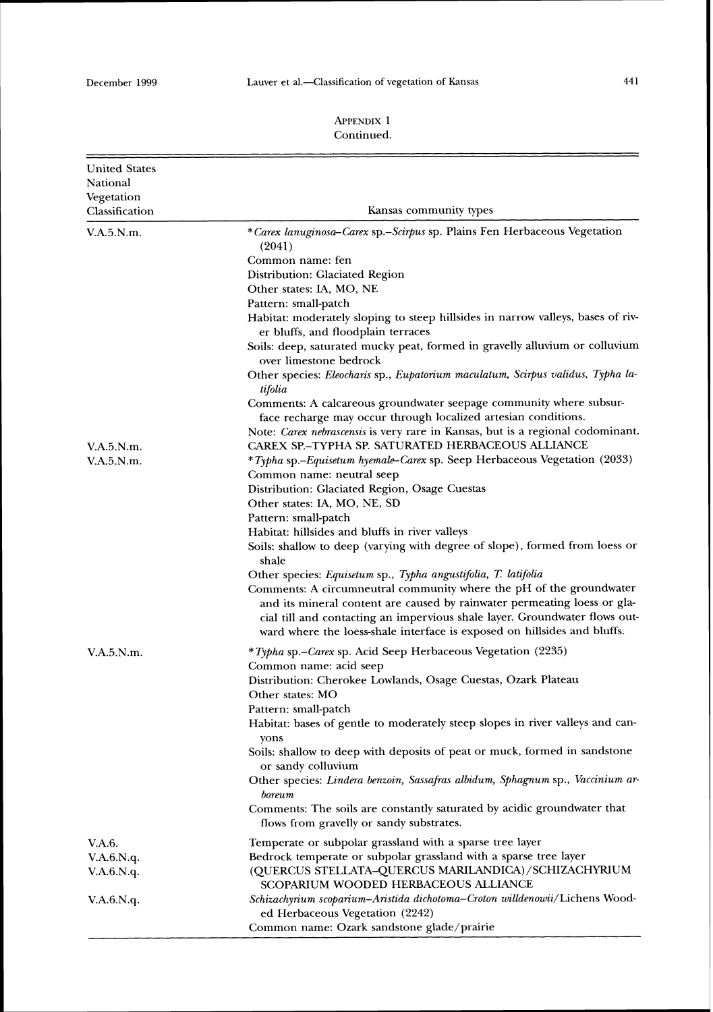| <b>United States</b><br>National<br>Vegetation<br>Classification | Kansas community types                                                                                                                                                                                                        |
|------------------------------------------------------------------|-------------------------------------------------------------------------------------------------------------------------------------------------------------------------------------------------------------------------------|
| V.A.5.N.m.                                                       | *Carex lanuginosa–Carex sp.–Scirpus sp. Plains Fen Herbaceous Vegetation                                                                                                                                                      |
|                                                                  | (2041)                                                                                                                                                                                                                        |
|                                                                  | Common name: fen                                                                                                                                                                                                              |
|                                                                  | Distribution: Glaciated Region                                                                                                                                                                                                |
|                                                                  | Other states: IA, MO, NE                                                                                                                                                                                                      |
|                                                                  | Pattern: small-patch                                                                                                                                                                                                          |
|                                                                  | Habitat: moderately sloping to steep hillsides in narrow valleys, bases of riv-                                                                                                                                               |
|                                                                  | er bluffs, and floodplain terraces<br>Soils: deep, saturated mucky peat, formed in gravelly alluvium or colluvium                                                                                                             |
|                                                                  | over limestone bedrock<br>Other species: Eleocharis sp., Eupatorium maculatum, Scirpus validus, Typha la-<br>tifolia                                                                                                          |
|                                                                  | Comments: A calcareous groundwater seepage community where subsur-                                                                                                                                                            |
|                                                                  | face recharge may occur through localized artesian conditions.                                                                                                                                                                |
|                                                                  | Note: Carex nebrascensis is very rare in Kansas, but is a regional codominant.                                                                                                                                                |
| V.A.5.N.m.                                                       | CAREX SP.-TYPHA SP. SATURATED HERBACEOUS ALLIANCE                                                                                                                                                                             |
| V.A.5.N.m.                                                       | *Typha sp.-Equisetum hyemale-Carex sp. Seep Herbaceous Vegetation (2033)                                                                                                                                                      |
|                                                                  | Common name: neutral seep                                                                                                                                                                                                     |
|                                                                  | Distribution: Glaciated Region, Osage Cuestas                                                                                                                                                                                 |
|                                                                  | Other states: IA, MO, NE, SD                                                                                                                                                                                                  |
|                                                                  | Pattern: small-patch                                                                                                                                                                                                          |
|                                                                  | Habitat: hillsides and bluffs in river valleys                                                                                                                                                                                |
|                                                                  | Soils: shallow to deep (varying with degree of slope), formed from loess or<br>shale                                                                                                                                          |
|                                                                  | Other species: Equisetum sp., Typha angustifolia, T. latifolia                                                                                                                                                                |
|                                                                  | Comments: A circumneutral community where the pH of the groundwater<br>and its mineral content are caused by rainwater permeating loess or gla-<br>cial till and contacting an impervious shale layer. Groundwater flows out- |
|                                                                  | ward where the loess-shale interface is exposed on hillsides and bluffs.                                                                                                                                                      |
| V.A.5.N.m.                                                       | <i>*Typha</i> sp.– <i>Carex</i> sp. Acid Seep Herbaceous Vegetation (2235)<br>Common name: acid seep                                                                                                                          |
|                                                                  | Distribution: Cherokee Lowlands, Osage Cuestas, Ozark Plateau<br>Other states: MO                                                                                                                                             |
|                                                                  | Pattern: small-patch                                                                                                                                                                                                          |
|                                                                  | Habitat: bases of gentle to moderately steep slopes in river valleys and can-<br>yons                                                                                                                                         |
|                                                                  | Soils: shallow to deep with deposits of peat or muck, formed in sandstone<br>or sandy colluvium                                                                                                                               |
|                                                                  | Other species: Lindera benzoin, Sassafras albidum, Sphagnum sp., Vaccinium ar-<br>boreum                                                                                                                                      |
|                                                                  | Comments: The soils are constantly saturated by acidic groundwater that<br>flows from gravelly or sandy substrates.                                                                                                           |
| V.A.6.                                                           | Temperate or subpolar grassland with a sparse tree layer                                                                                                                                                                      |
| V.A.6.N.q.                                                       | Bedrock temperate or subpolar grassland with a sparse tree layer                                                                                                                                                              |
| V.A.6.N.q.                                                       | (QUERCUS STELLATA-QUERCUS MARILANDICA)/SCHIZACHYRIUM                                                                                                                                                                          |
|                                                                  | SCOPARIUM WOODED HERBACEOUS ALLIANCE                                                                                                                                                                                          |
| V.A.6.N.q.                                                       | Schizachyrium scoparium-Aristida dichotoma-Croton willdenowii/Lichens Wood-<br>ed Herbaceous Vegetation (2242)                                                                                                                |
|                                                                  | Common name: Ozark sandstone glade/prairie                                                                                                                                                                                    |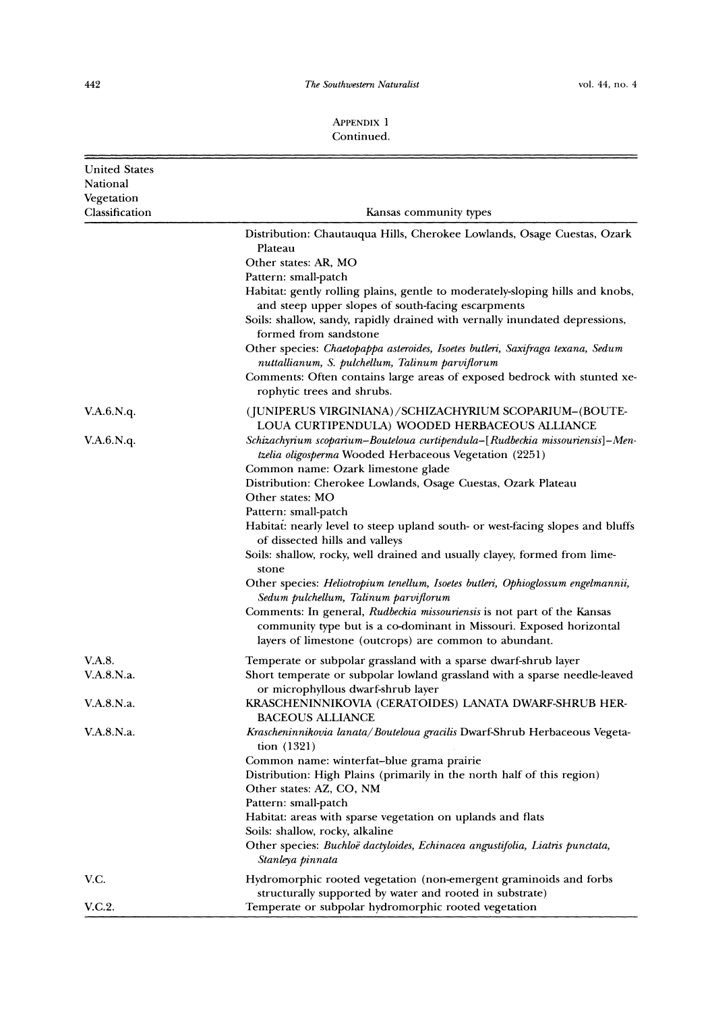*The Southwestern Naturalist*  $\frac{1}{2}$  *vol. 44, no. 4* 

| <b>United States</b> |                                                                                                                                                                                                                                                                                                                                                                                                                                                                                                                      |
|----------------------|----------------------------------------------------------------------------------------------------------------------------------------------------------------------------------------------------------------------------------------------------------------------------------------------------------------------------------------------------------------------------------------------------------------------------------------------------------------------------------------------------------------------|
| National             |                                                                                                                                                                                                                                                                                                                                                                                                                                                                                                                      |
| Vegetation           |                                                                                                                                                                                                                                                                                                                                                                                                                                                                                                                      |
| Classification       | Kansas community types                                                                                                                                                                                                                                                                                                                                                                                                                                                                                               |
|                      | Distribution: Chautauqua Hills, Cherokee Lowlands, Osage Cuestas, Ozark<br>Plateau<br>Other states: AR, MO                                                                                                                                                                                                                                                                                                                                                                                                           |
|                      | Pattern: small-patch<br>Habitat: gently rolling plains, gentle to moderately-sloping hills and knobs,<br>and steep upper slopes of south-facing escarpments<br>Soils: shallow, sandy, rapidly drained with vernally inundated depressions,<br>formed from sandstone<br>Other species: Chaetopappa asteroides, Isoetes butleri, Saxifraga texana, Sedum<br>nuttallianum, S. pulchellum, Talinum parviflorum<br>Comments: Often contains large areas of exposed bedrock with stunted xe-<br>rophytic trees and shrubs. |
| V.A.6.N.q.           | (JUNIPERUS VIRGINIANA)/SCHIZACHYRIUM SCOPARIUM–(BOUTE-<br>LOUA CURTIPENDULA) WOODED HERBACEOUS ALLIANCE                                                                                                                                                                                                                                                                                                                                                                                                              |
| V.A.6.N.q.           | Schizachyrium scoparium–Bouteloua curtipendula–[Rudbeckia missouriensis]–Men-<br>tzelia oligosperma Wooded Herbaceous Vegetation (2251)<br>Common name: Ozark limestone glade<br>Distribution: Cherokee Lowlands, Osage Cuestas, Ozark Plateau                                                                                                                                                                                                                                                                       |
|                      | Other states: MO<br>Pattern: small-patch<br>Habitat: nearly level to steep upland south- or west-facing slopes and bluffs<br>of dissected hills and valleys<br>Soils: shallow, rocky, well drained and usually clayey, formed from lime-<br>stone<br>Other species: Heliotropium tenellum, Isoetes butleri, Ophioglossum engelmannii,                                                                                                                                                                                |
|                      | Sedum pulchellum, Talinum parviflorum<br>Comments: In general, Rudbeckia missouriensis is not part of the Kansas<br>community type but is a co-dominant in Missouri. Exposed horizontal<br>layers of limestone (outcrops) are common to abundant.                                                                                                                                                                                                                                                                    |
| V.A.8.               | Temperate or subpolar grassland with a sparse dwarf-shrub layer                                                                                                                                                                                                                                                                                                                                                                                                                                                      |
| V.A.8.N.a.           | Short temperate or subpolar lowland grassland with a sparse needle-leaved<br>or microphyllous dwarf-shrub layer                                                                                                                                                                                                                                                                                                                                                                                                      |
| V.A.8.N.a.           | KRASCHENINNIKOVIA (CERATOIDES) LANATA DWARF-SHRUB HER-<br><b>BACEOUS ALLIANCE</b>                                                                                                                                                                                                                                                                                                                                                                                                                                    |
| V.A.8.N.a.           | Krascheninnikovia lanata/Bouteloua gracilis Dwarf-Shrub Herbaceous Vegeta-<br>tion $(1321)$<br>Common name: winterfat-blue grama prairie<br>Distribution: High Plains (primarily in the north half of this region)                                                                                                                                                                                                                                                                                                   |
|                      | Other states: AZ, CO, NM<br>Pattern: small-patch<br>Habitat: areas with sparse vegetation on uplands and flats<br>Soils: shallow, rocky, alkaline<br>Other species: Buchloë dactyloides, Echinacea angustifolia, Liatris punctata,<br>Stanleya pinnata                                                                                                                                                                                                                                                               |
| V.C.                 | Hydromorphic rooted vegetation (non-emergent graminoids and forbs<br>structurally supported by water and rooted in substrate)                                                                                                                                                                                                                                                                                                                                                                                        |
| V.C.2.               | Temperate or subpolar hydromorphic rooted vegetation                                                                                                                                                                                                                                                                                                                                                                                                                                                                 |